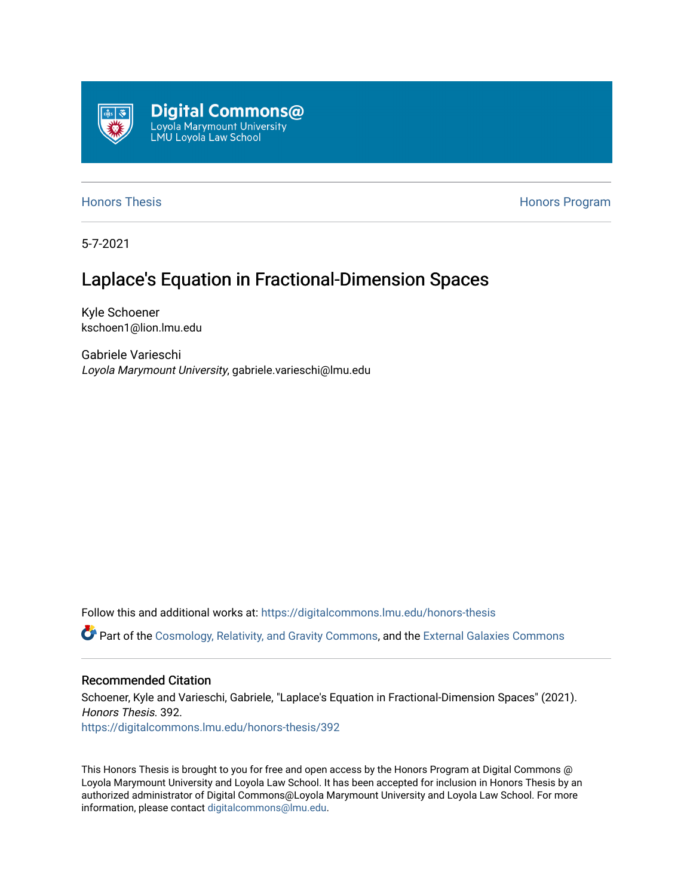

[Honors Thesis](https://digitalcommons.lmu.edu/honors-thesis) **Honors Honors** Program

5-7-2021

# Laplace's Equation in Fractional-Dimension Spaces

Kyle Schoener kschoen1@lion.lmu.edu

Gabriele Varieschi Loyola Marymount University, gabriele.varieschi@lmu.edu

Follow this and additional works at: [https://digitalcommons.lmu.edu/honors-thesis](https://digitalcommons.lmu.edu/honors-thesis?utm_source=digitalcommons.lmu.edu%2Fhonors-thesis%2F392&utm_medium=PDF&utm_campaign=PDFCoverPages)

Part of the [Cosmology, Relativity, and Gravity Commons,](http://network.bepress.com/hgg/discipline/129?utm_source=digitalcommons.lmu.edu%2Fhonors-thesis%2F392&utm_medium=PDF&utm_campaign=PDFCoverPages) and the [External Galaxies Commons](http://network.bepress.com/hgg/discipline/128?utm_source=digitalcommons.lmu.edu%2Fhonors-thesis%2F392&utm_medium=PDF&utm_campaign=PDFCoverPages) 

#### Recommended Citation

Schoener, Kyle and Varieschi, Gabriele, "Laplace's Equation in Fractional-Dimension Spaces" (2021). Honors Thesis. 392. [https://digitalcommons.lmu.edu/honors-thesis/392](https://digitalcommons.lmu.edu/honors-thesis/392?utm_source=digitalcommons.lmu.edu%2Fhonors-thesis%2F392&utm_medium=PDF&utm_campaign=PDFCoverPages) 

This Honors Thesis is brought to you for free and open access by the Honors Program at Digital Commons @ Loyola Marymount University and Loyola Law School. It has been accepted for inclusion in Honors Thesis by an authorized administrator of Digital Commons@Loyola Marymount University and Loyola Law School. For more information, please contact [digitalcommons@lmu.edu.](mailto:digitalcommons@lmu.edu)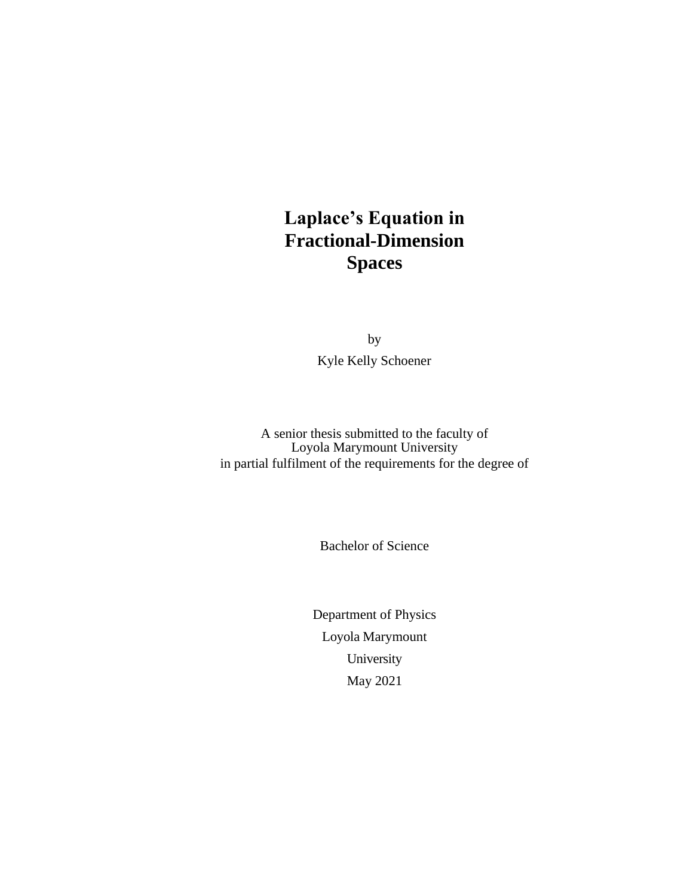# **Laplace's Equation in Fractional-Dimension Spaces**

by Kyle Kelly Schoener

A senior thesis submitted to the faculty of Loyola Marymount University in partial fulfilment of the requirements for the degree of

Bachelor of Science

Department of Physics Loyola Marymount University May 2021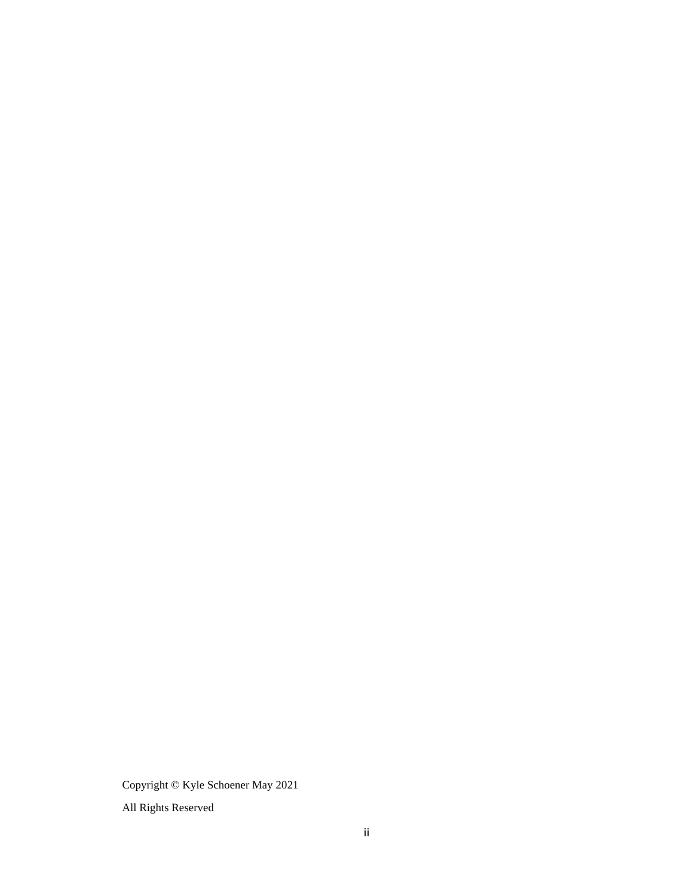Copyright © Kyle Schoener May 2021

All Rights Reserved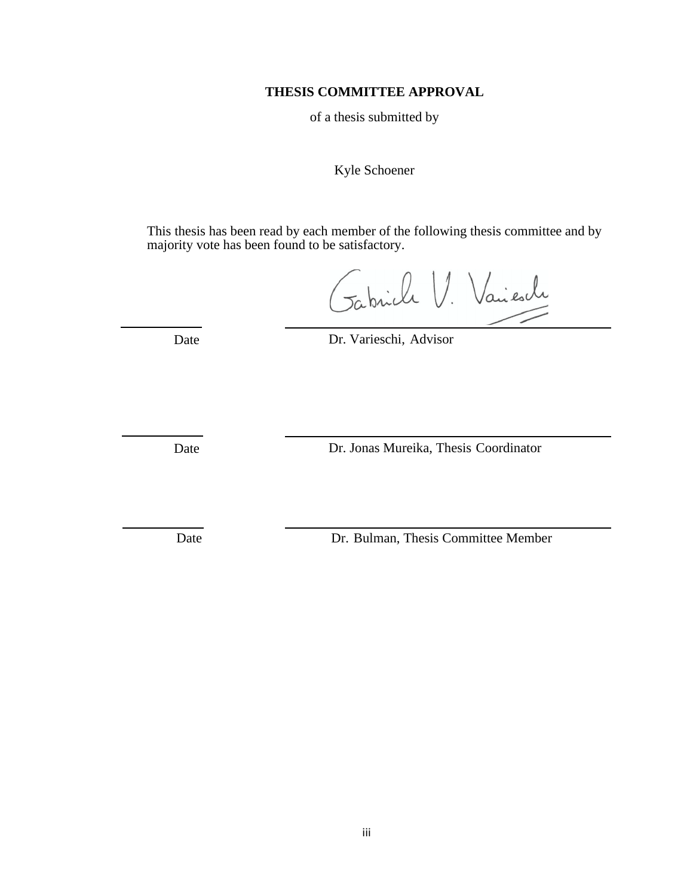#### **THESIS COMMITTEE APPROVAL**

of a thesis submitted by

#### Kyle Schoener

This thesis has been read by each member of the following thesis committee and by majority vote has been found to be satisfactory.

Gabriele V. Vaiescle

Date Dr. Varieschi, Advisor

Date Dr. Jonas Mureika, Thesis Coordinator

Date Dr. Bulman, Thesis Committee Member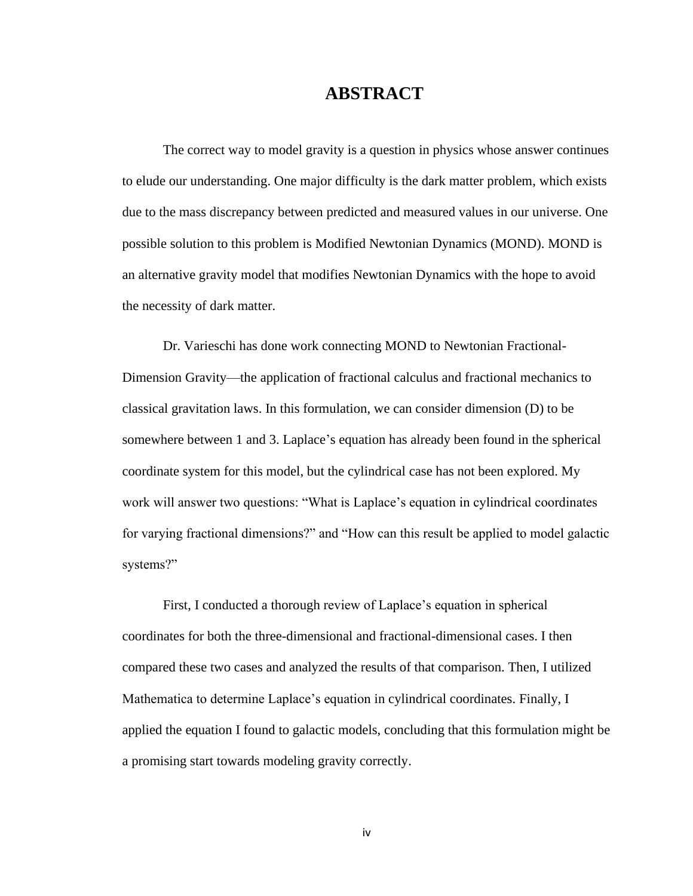#### **ABSTRACT**

The correct way to model gravity is a question in physics whose answer continues to elude our understanding. One major difficulty is the dark matter problem, which exists due to the mass discrepancy between predicted and measured values in our universe. One possible solution to this problem is Modified Newtonian Dynamics (MOND). MOND is an alternative gravity model that modifies Newtonian Dynamics with the hope to avoid the necessity of dark matter.

Dr. Varieschi has done work connecting MOND to Newtonian Fractional-Dimension Gravity—the application of fractional calculus and fractional mechanics to classical gravitation laws. In this formulation, we can consider dimension (D) to be somewhere between 1 and 3. Laplace's equation has already been found in the spherical coordinate system for this model, but the cylindrical case has not been explored. My work will answer two questions: "What is Laplace's equation in cylindrical coordinates for varying fractional dimensions?" and "How can this result be applied to model galactic systems?"

First, I conducted a thorough review of Laplace's equation in spherical coordinates for both the three-dimensional and fractional-dimensional cases. I then compared these two cases and analyzed the results of that comparison. Then, I utilized Mathematica to determine Laplace's equation in cylindrical coordinates. Finally, I applied the equation I found to galactic models, concluding that this formulation might be a promising start towards modeling gravity correctly.

iv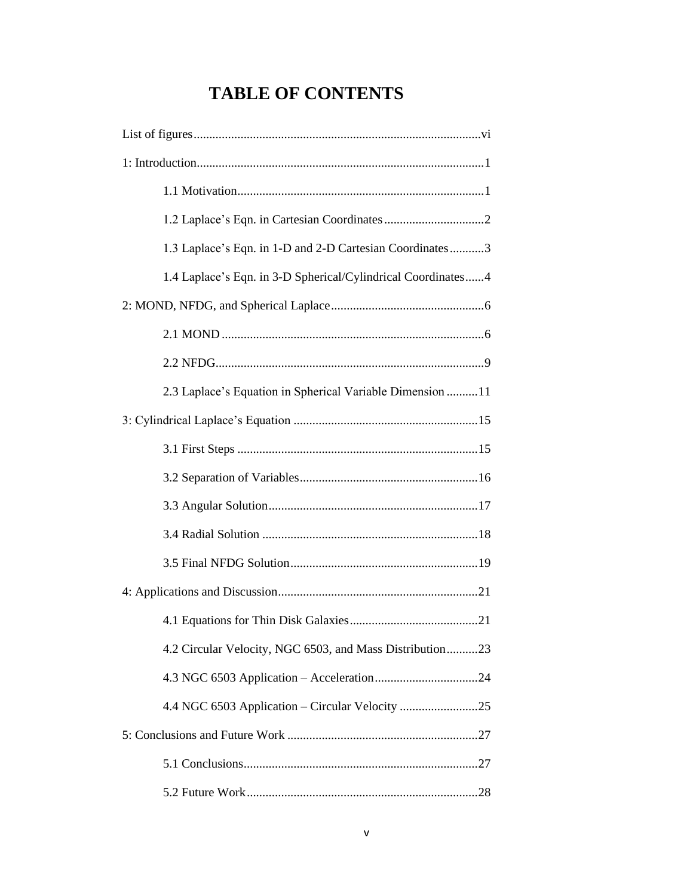# **TABLE OF CONTENTS**

| 1.3 Laplace's Eqn. in 1-D and 2-D Cartesian Coordinates3     |
|--------------------------------------------------------------|
| 1.4 Laplace's Eqn. in 3-D Spherical/Cylindrical Coordinates4 |
|                                                              |
|                                                              |
|                                                              |
| 2.3 Laplace's Equation in Spherical Variable Dimension 11    |
|                                                              |
|                                                              |
|                                                              |
|                                                              |
|                                                              |
|                                                              |
|                                                              |
|                                                              |
| 4.2 Circular Velocity, NGC 6503, and Mass Distribution23     |
|                                                              |
| 4.4 NGC 6503 Application - Circular Velocity 25              |
|                                                              |
|                                                              |
|                                                              |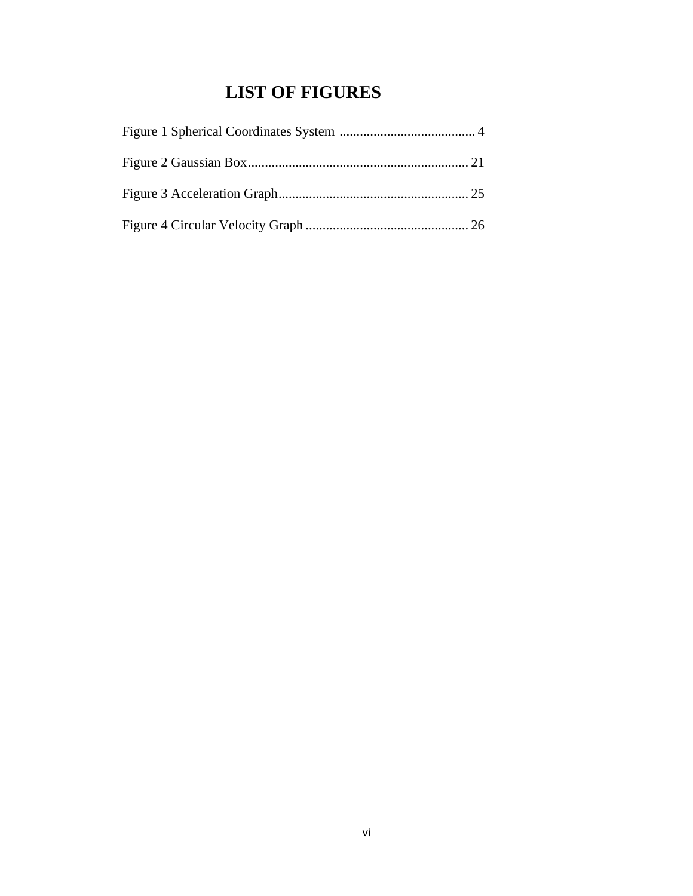# **LIST OF FIGURES**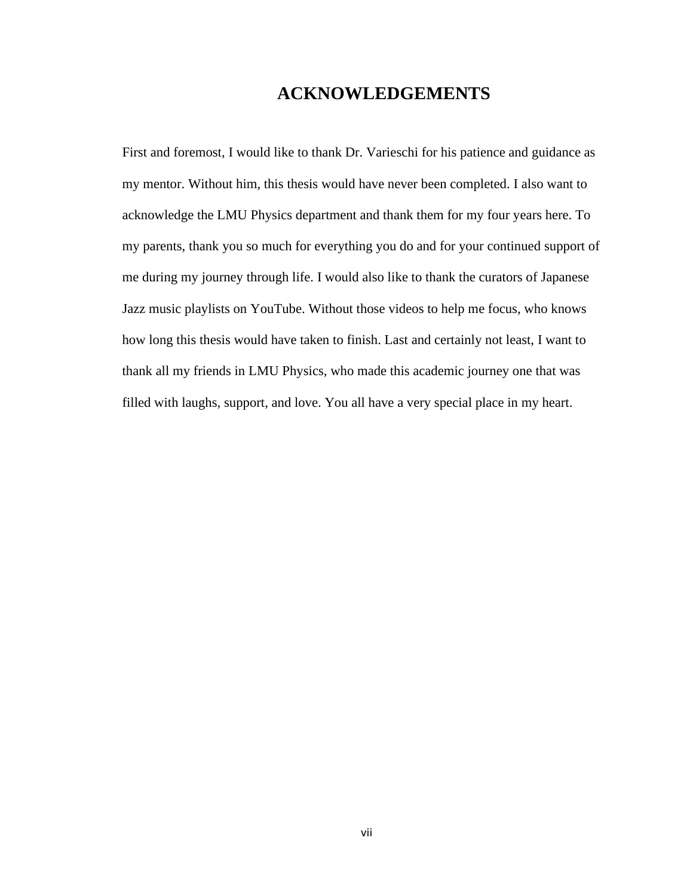#### **ACKNOWLEDGEMENTS**

First and foremost, I would like to thank Dr. Varieschi for his patience and guidance as my mentor. Without him, this thesis would have never been completed. I also want to acknowledge the LMU Physics department and thank them for my four years here. To my parents, thank you so much for everything you do and for your continued support of me during my journey through life. I would also like to thank the curators of Japanese Jazz music playlists on YouTube. Without those videos to help me focus, who knows how long this thesis would have taken to finish. Last and certainly not least, I want to thank all my friends in LMU Physics, who made this academic journey one that was filled with laughs, support, and love. You all have a very special place in my heart.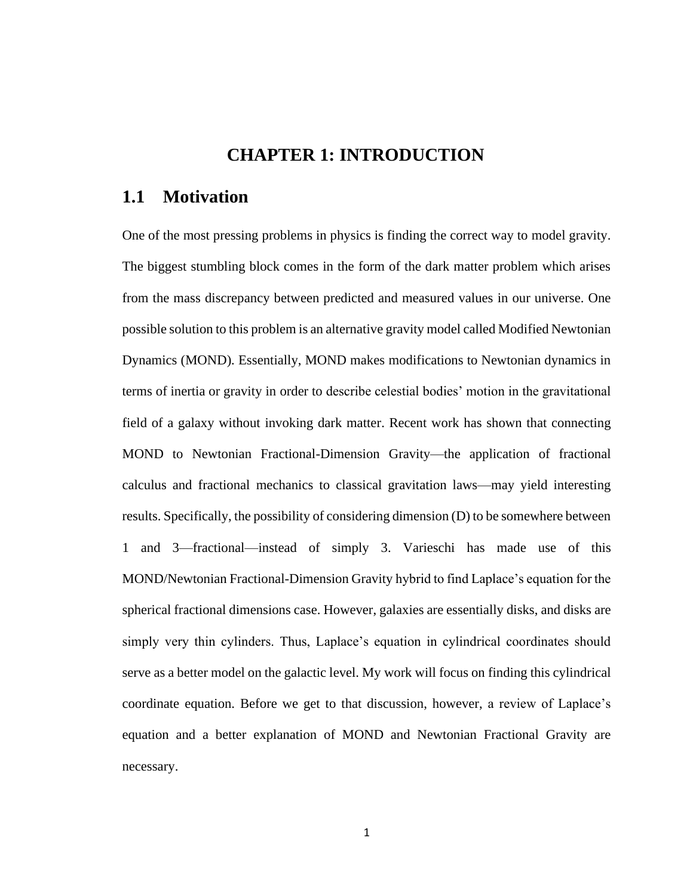#### **CHAPTER 1: INTRODUCTION**

#### **1.1 Motivation**

One of the most pressing problems in physics is finding the correct way to model gravity. The biggest stumbling block comes in the form of the dark matter problem which arises from the mass discrepancy between predicted and measured values in our universe. One possible solution to this problem is an alternative gravity model called Modified Newtonian Dynamics (MOND). Essentially, MOND makes modifications to Newtonian dynamics in terms of inertia or gravity in order to describe celestial bodies' motion in the gravitational field of a galaxy without invoking dark matter. Recent work has shown that connecting MOND to Newtonian Fractional-Dimension Gravity—the application of fractional calculus and fractional mechanics to classical gravitation laws—may yield interesting results. Specifically, the possibility of considering dimension (D) to be somewhere between 1 and 3—fractional—instead of simply 3. Varieschi has made use of this MOND/Newtonian Fractional-Dimension Gravity hybrid to find Laplace's equation for the spherical fractional dimensions case. However, galaxies are essentially disks, and disks are simply very thin cylinders. Thus, Laplace's equation in cylindrical coordinates should serve as a better model on the galactic level. My work will focus on finding this cylindrical coordinate equation. Before we get to that discussion, however, a review of Laplace's equation and a better explanation of MOND and Newtonian Fractional Gravity are necessary.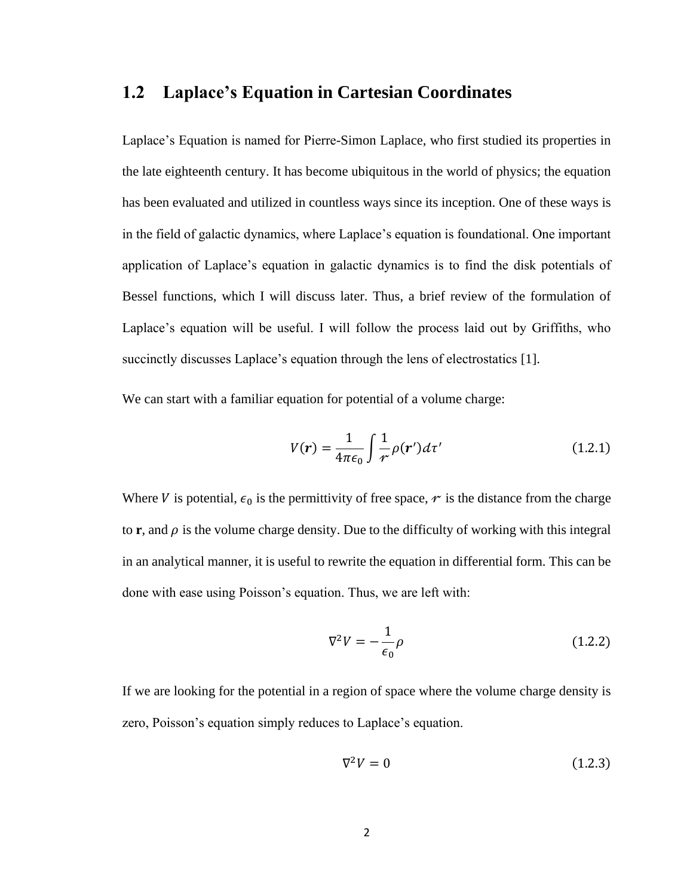#### **1.2 Laplace's Equation in Cartesian Coordinates**

Laplace's Equation is named for Pierre-Simon Laplace, who first studied its properties in the late eighteenth century. It has become ubiquitous in the world of physics; the equation has been evaluated and utilized in countless ways since its inception. One of these ways is in the field of galactic dynamics, where Laplace's equation is foundational. One important application of Laplace's equation in galactic dynamics is to find the disk potentials of Bessel functions, which I will discuss later. Thus, a brief review of the formulation of Laplace's equation will be useful. I will follow the process laid out by Griffiths, who succinctly discusses Laplace's equation through the lens of electrostatics [1].

We can start with a familiar equation for potential of a volume charge:

$$
V(r) = \frac{1}{4\pi\epsilon_0} \int \frac{1}{r} \rho(r') d\tau'
$$
 (1.2.1)

Where V is potential,  $\epsilon_0$  is the permittivity of free space,  $\gamma$  is the distance from the charge to **r**, and  $\rho$  is the volume charge density. Due to the difficulty of working with this integral in an analytical manner, it is useful to rewrite the equation in differential form. This can be done with ease using Poisson's equation. Thus, we are left with:

$$
\nabla^2 V = -\frac{1}{\epsilon_0} \rho \tag{1.2.2}
$$

If we are looking for the potential in a region of space where the volume charge density is zero, Poisson's equation simply reduces to Laplace's equation.

$$
\nabla^2 V = 0 \tag{1.2.3}
$$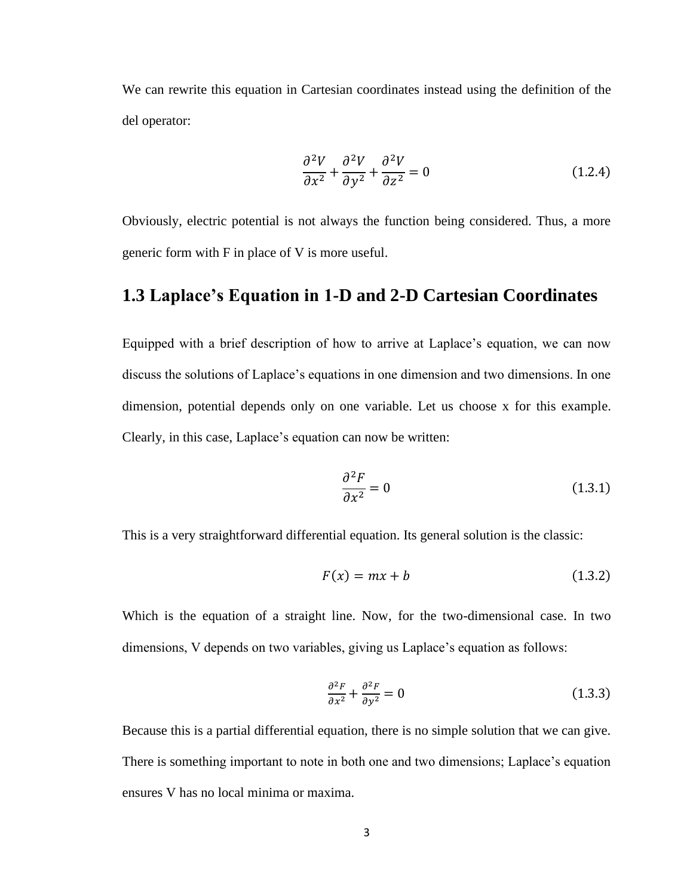We can rewrite this equation in Cartesian coordinates instead using the definition of the del operator:

$$
\frac{\partial^2 V}{\partial x^2} + \frac{\partial^2 V}{\partial y^2} + \frac{\partial^2 V}{\partial z^2} = 0
$$
 (1.2.4)

Obviously, electric potential is not always the function being considered. Thus, a more generic form with F in place of V is more useful.

#### **1.3 Laplace's Equation in 1-D and 2-D Cartesian Coordinates**

Equipped with a brief description of how to arrive at Laplace's equation, we can now discuss the solutions of Laplace's equations in one dimension and two dimensions. In one dimension, potential depends only on one variable. Let us choose x for this example. Clearly, in this case, Laplace's equation can now be written:

$$
\frac{\partial^2 F}{\partial x^2} = 0\tag{1.3.1}
$$

This is a very straightforward differential equation. Its general solution is the classic:

$$
F(x) = mx + b \tag{1.3.2}
$$

Which is the equation of a straight line. Now, for the two-dimensional case. In two dimensions, V depends on two variables, giving us Laplace's equation as follows:

$$
\frac{\partial^2 F}{\partial x^2} + \frac{\partial^2 F}{\partial y^2} = 0
$$
\n(1.3.3)

Because this is a partial differential equation, there is no simple solution that we can give. There is something important to note in both one and two dimensions; Laplace's equation ensures V has no local minima or maxima.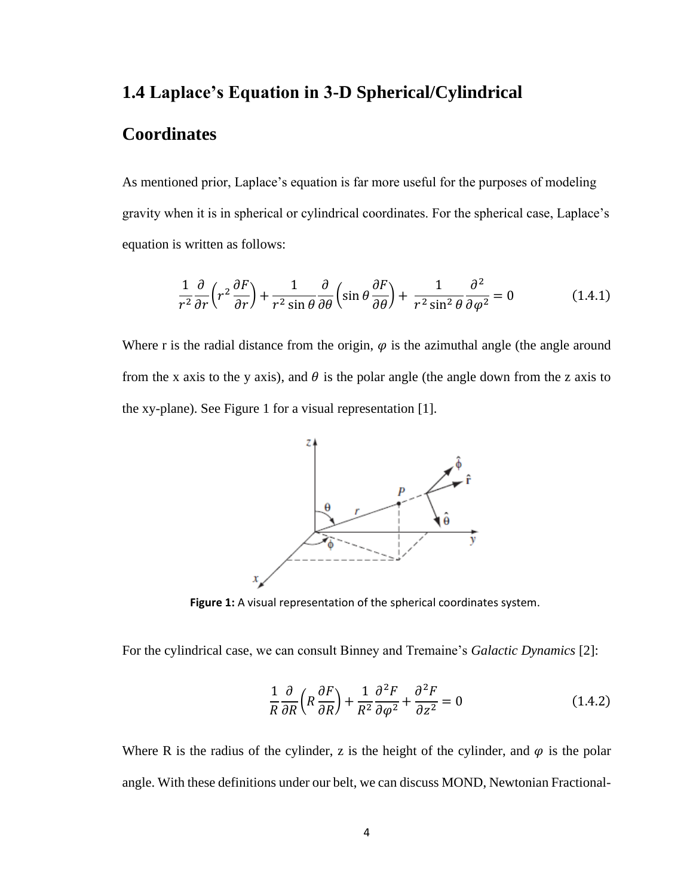# **1.4 Laplace's Equation in 3-D Spherical/Cylindrical**

## **Coordinates**

As mentioned prior, Laplace's equation is far more useful for the purposes of modeling gravity when it is in spherical or cylindrical coordinates. For the spherical case, Laplace's equation is written as follows:

$$
\frac{1}{r^2}\frac{\partial}{\partial r}\left(r^2\frac{\partial F}{\partial r}\right) + \frac{1}{r^2\sin\theta}\frac{\partial}{\partial \theta}\left(\sin\theta\frac{\partial F}{\partial \theta}\right) + \frac{1}{r^2\sin^2\theta}\frac{\partial^2}{\partial \varphi^2} = 0\tag{1.4.1}
$$

Where r is the radial distance from the origin,  $\varphi$  is the azimuthal angle (the angle around from the x axis to the y axis), and  $\theta$  is the polar angle (the angle down from the z axis to the xy-plane). See Figure 1 for a visual representation [1].



**Figure 1:** A visual representation of the spherical coordinates system.

For the cylindrical case, we can consult Binney and Tremaine's *Galactic Dynamics* [2]:

$$
\frac{1}{R}\frac{\partial}{\partial R}\left(R\frac{\partial F}{\partial R}\right) + \frac{1}{R^2}\frac{\partial^2 F}{\partial \varphi^2} + \frac{\partial^2 F}{\partial z^2} = 0
$$
\n(1.4.2)

Where R is the radius of the cylinder, z is the height of the cylinder, and  $\varphi$  is the polar angle. With these definitions under our belt, we can discuss MOND, Newtonian Fractional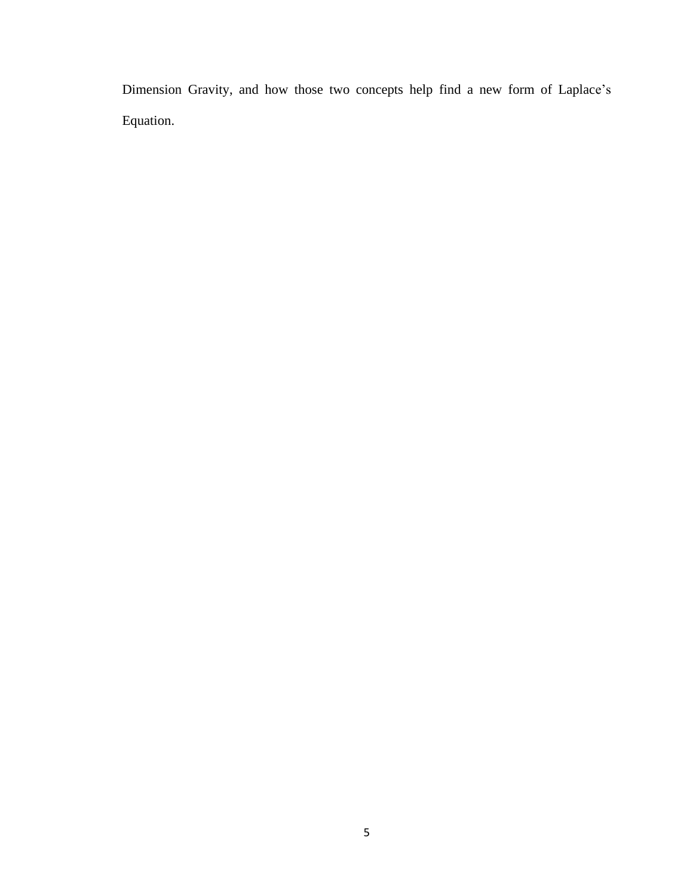Dimension Gravity, and how those two concepts help find a new form of Laplace's Equation.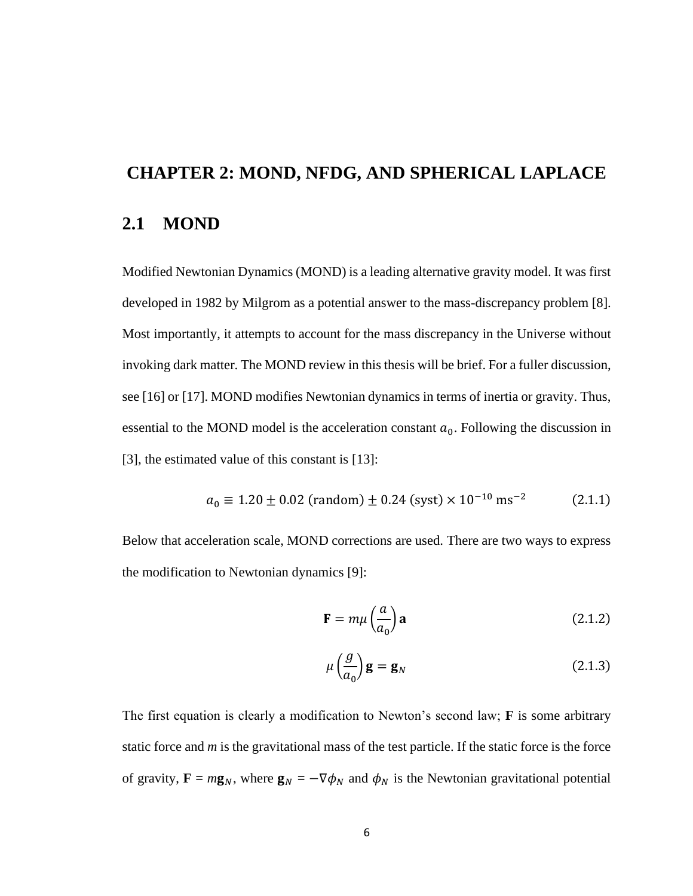# **CHAPTER 2: MOND, NFDG, AND SPHERICAL LAPLACE 2.1 MOND**

Modified Newtonian Dynamics (MOND) is a leading alternative gravity model. It was first developed in 1982 by Milgrom as a potential answer to the mass-discrepancy problem [8]. Most importantly, it attempts to account for the mass discrepancy in the Universe without invoking dark matter. The MOND review in this thesis will be brief. For a fuller discussion, see [16] or [17]. MOND modifies Newtonian dynamics in terms of inertia or gravity. Thus, essential to the MOND model is the acceleration constant  $a_0$ . Following the discussion in [3], the estimated value of this constant is [13]:

$$
a_0 \equiv 1.20 \pm 0.02 \text{ (random)} \pm 0.24 \text{ (syst)} \times 10^{-10} \text{ ms}^{-2} \tag{2.1.1}
$$

Below that acceleration scale, MOND corrections are used. There are two ways to express the modification to Newtonian dynamics [9]:

$$
\mathbf{F} = m\mu \left(\frac{a}{a_0}\right) \mathbf{a} \tag{2.1.2}
$$

$$
\mu\left(\frac{g}{a_0}\right)\mathbf{g} = \mathbf{g}_N \tag{2.1.3}
$$

The first equation is clearly a modification to Newton's second law; **F** is some arbitrary static force and *m* is the gravitational mass of the test particle. If the static force is the force of gravity,  $\mathbf{F} = m\mathbf{g}_N$ , where  $\mathbf{g}_N = -\nabla \phi_N$  and  $\phi_N$  is the Newtonian gravitational potential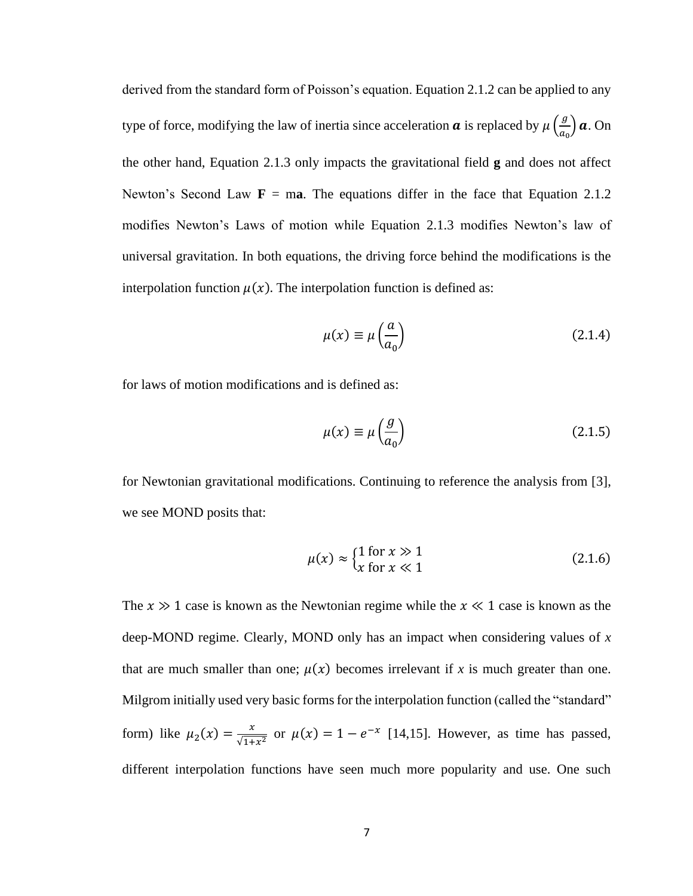derived from the standard form of Poisson's equation. Equation 2.1.2 can be applied to any type of force, modifying the law of inertia since acceleration  $\boldsymbol{a}$  is replaced by  $\mu\left(\frac{g}{g}\right)$  $\frac{g}{a_0}$  **a**. On the other hand, Equation 2.1.3 only impacts the gravitational field **g** and does not affect Newton's Second Law  $\mathbf{F} = \mathbf{ma}$ . The equations differ in the face that Equation 2.1.2 modifies Newton's Laws of motion while Equation 2.1.3 modifies Newton's law of universal gravitation. In both equations, the driving force behind the modifications is the interpolation function  $\mu(x)$ . The interpolation function is defined as:

$$
\mu(x) \equiv \mu\left(\frac{a}{a_0}\right) \tag{2.1.4}
$$

for laws of motion modifications and is defined as:

$$
\mu(x) \equiv \mu\left(\frac{g}{a_0}\right) \tag{2.1.5}
$$

for Newtonian gravitational modifications. Continuing to reference the analysis from [3], we see MOND posits that:

$$
\mu(x) \approx \begin{cases} 1 \text{ for } x \gg 1 \\ x \text{ for } x \ll 1 \end{cases}
$$
 (2.1.6)

The  $x \gg 1$  case is known as the Newtonian regime while the  $x \ll 1$  case is known as the deep-MOND regime. Clearly, MOND only has an impact when considering values of *x* that are much smaller than one;  $\mu(x)$  becomes irrelevant if x is much greater than one. Milgrom initially used very basic forms for the interpolation function (called the "standard" form) like  $\mu_2(x) = \frac{x}{\sqrt{1+x}}$  $\frac{x}{\sqrt{1+x^2}}$  or  $\mu(x) = 1 - e^{-x}$  [14,15]. However, as time has passed, different interpolation functions have seen much more popularity and use. One such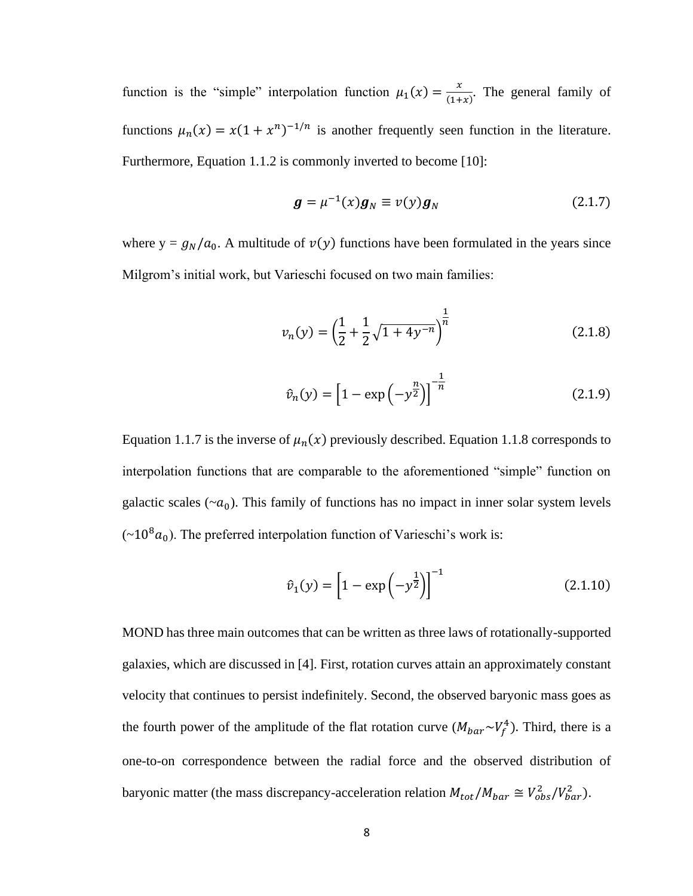function is the "simple" interpolation function  $\mu_1(x) = \frac{x}{(1+x)^2}$  $\frac{x}{(1+x)}$ . The general family of functions  $\mu_n(x) = x(1 + x^n)^{-1/n}$  is another frequently seen function in the literature. Furthermore, Equation 1.1.2 is commonly inverted to become [10]:

$$
\boldsymbol{g} = \mu^{-1}(x)\boldsymbol{g}_N \equiv v(y)\boldsymbol{g}_N \tag{2.1.7}
$$

where  $y = g_N/a_0$ . A multitude of  $v(y)$  functions have been formulated in the years since Milgrom's initial work, but Varieschi focused on two main families:

$$
v_n(y) = \left(\frac{1}{2} + \frac{1}{2}\sqrt{1 + 4y^{-n}}\right)^{\frac{1}{n}}
$$
 (2.1.8)

$$
\hat{v}_n(y) = \left[1 - \exp\left(-y^{\frac{n}{2}}\right)\right]^{-\frac{1}{n}}\tag{2.1.9}
$$

Equation 1.1.7 is the inverse of  $\mu_n(x)$  previously described. Equation 1.1.8 corresponds to interpolation functions that are comparable to the aforementioned "simple" function on galactic scales ( $\sim a_0$ ). This family of functions has no impact in inner solar system levels  $(\sim 10^8 a_0)$ . The preferred interpolation function of Varieschi's work is:

$$
\hat{v}_1(y) = \left[1 - \exp\left(-y^{\frac{1}{2}}\right)\right]^{-1} \tag{2.1.10}
$$

MOND has three main outcomes that can be written as three laws of rotationally-supported galaxies, which are discussed in [4]. First, rotation curves attain an approximately constant velocity that continues to persist indefinitely. Second, the observed baryonic mass goes as the fourth power of the amplitude of the flat rotation curve  $(M_{bar}\sim V_f^4)$ . Third, there is a one-to-on correspondence between the radial force and the observed distribution of baryonic matter (the mass discrepancy-acceleration relation  $M_{tot}/M_{bar} \cong V_{obs}^2/V_{bar}^2$ ).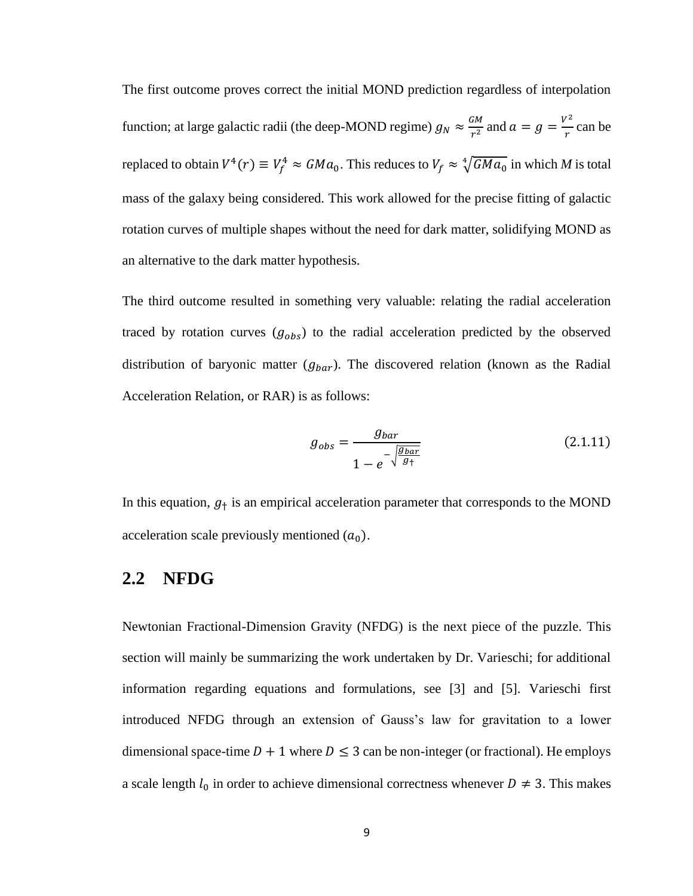The first outcome proves correct the initial MOND prediction regardless of interpolation function; at large galactic radii (the deep-MOND regime)  $g_N \approx \frac{GM}{r^2}$  $rac{GM}{r^2}$  and  $a = g = \frac{V^2}{r}$  $\frac{r}{r}$  can be replaced to obtain  $V^4(r) \equiv V_f^4 \approx GMa_0$ . This reduces to  $V_f \approx \sqrt[4]{GMa_0}$  in which *M* is total mass of the galaxy being considered. This work allowed for the precise fitting of galactic rotation curves of multiple shapes without the need for dark matter, solidifying MOND as an alternative to the dark matter hypothesis.

The third outcome resulted in something very valuable: relating the radial acceleration traced by rotation curves  $(g_{obs})$  to the radial acceleration predicted by the observed distribution of baryonic matter  $(g_{bar})$ . The discovered relation (known as the Radial Acceleration Relation, or RAR) is as follows:

$$
g_{obs} = \frac{g_{bar}}{1 - e^{-\sqrt{\frac{g_{bar}}{g_{\dagger}}}}}
$$
(2.1.11)

In this equation,  $g_{+}$  is an empirical acceleration parameter that corresponds to the MOND acceleration scale previously mentioned  $(a_0)$ .

#### **2.2 NFDG**

Newtonian Fractional-Dimension Gravity (NFDG) is the next piece of the puzzle. This section will mainly be summarizing the work undertaken by Dr. Varieschi; for additional information regarding equations and formulations, see [3] and [5]. Varieschi first introduced NFDG through an extension of Gauss's law for gravitation to a lower dimensional space-time  $D + 1$  where  $D \le 3$  can be non-integer (or fractional). He employs a scale length  $l_0$  in order to achieve dimensional correctness whenever  $D \neq 3$ . This makes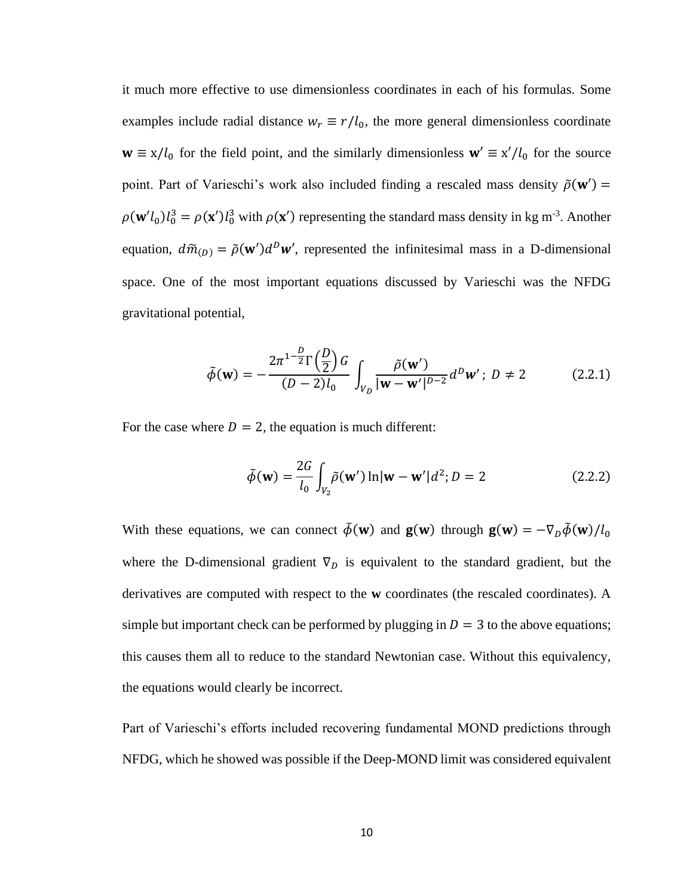it much more effective to use dimensionless coordinates in each of his formulas. Some examples include radial distance  $w_r \equiv r/l_0$ , the more general dimensionless coordinate  $\mathbf{w} \equiv x/l_0$  for the field point, and the similarly dimensionless  $\mathbf{w}' \equiv x'/l_0$  for the source point. Part of Varieschi's work also included finding a rescaled mass density  $\tilde{\rho}(w') =$  $\rho(\mathbf{w}' l_0) l_0^3 = \rho(\mathbf{x}') l_0^3$  with  $\rho(\mathbf{x}')$  representing the standard mass density in kg m<sup>-3</sup>. Another equation,  $d\tilde{m}_{(D)} = \tilde{\rho}(\mathbf{w}')d^D\mathbf{w}'$ , represented the infinitesimal mass in a D-dimensional space. One of the most important equations discussed by Varieschi was the NFDG gravitational potential,

$$
\tilde{\phi}(\mathbf{w}) = -\frac{2\pi^{1-\frac{D}{2}}\Gamma(\frac{D}{2})G}{(D-2)l_0} \int_{V_D} \frac{\tilde{\rho}(\mathbf{w}')}{|\mathbf{w}-\mathbf{w}'|^{D-2}} d^D \mathbf{w}'; D \neq 2
$$
\n(2.2.1)

For the case where  $D = 2$ , the equation is much different:

$$
\tilde{\phi}(\mathbf{w}) = \frac{2G}{l_0} \int_{V_2} \tilde{\rho}(\mathbf{w}') \ln |\mathbf{w} - \mathbf{w}'| d^2; D = 2
$$
\n(2.2.2)

With these equations, we can connect  $\tilde{\phi}(\mathbf{w})$  and  $\mathbf{g}(\mathbf{w})$  through  $\mathbf{g}(\mathbf{w}) = -\nabla_D \tilde{\phi}(\mathbf{w})/l_0$ where the D-dimensional gradient  $\nabla$ <sub>D</sub> is equivalent to the standard gradient, but the derivatives are computed with respect to the **w** coordinates (the rescaled coordinates). A simple but important check can be performed by plugging in  $D = 3$  to the above equations; this causes them all to reduce to the standard Newtonian case. Without this equivalency, the equations would clearly be incorrect.

Part of Varieschi's efforts included recovering fundamental MOND predictions through NFDG, which he showed was possible if the Deep-MOND limit was considered equivalent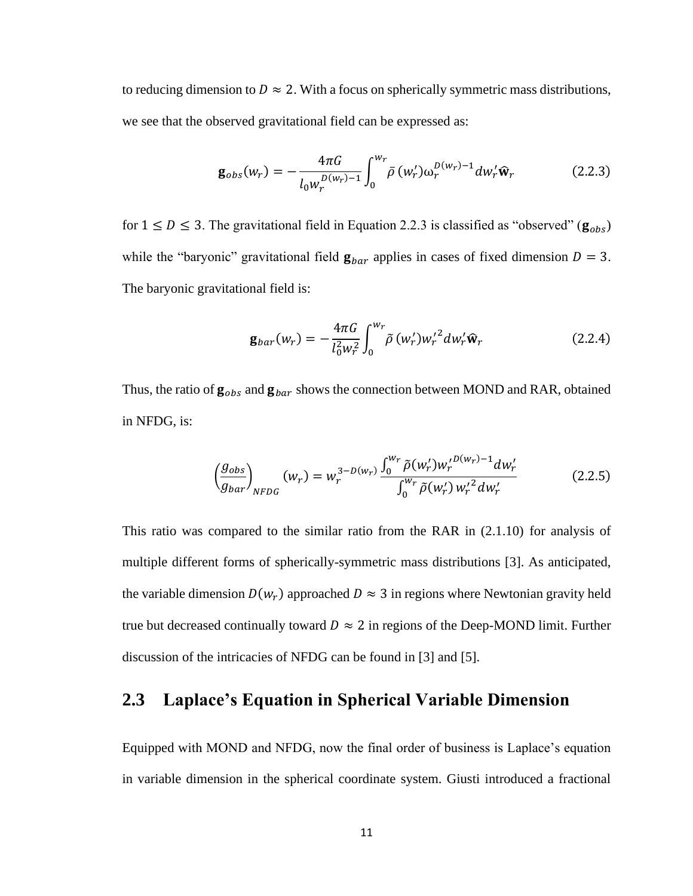to reducing dimension to  $D \approx 2$ . With a focus on spherically symmetric mass distributions, we see that the observed gravitational field can be expressed as:

$$
\mathbf{g}_{obs}(w_r) = -\frac{4\pi G}{l_0 w_r^{D(w_r)-1}} \int_0^{w_r} \bar{\rho}(w_r') \omega_r^{D(w_r)-1} dw_r' \hat{\mathbf{w}}_r \qquad (2.2.3)
$$

for  $1 \le D \le 3$ . The gravitational field in Equation 2.2.3 is classified as "observed" ( $\mathbf{g}_{obs}$ ) while the "baryonic" gravitational field  $\mathbf{g}_{bar}$  applies in cases of fixed dimension  $D = 3$ . The baryonic gravitational field is:

$$
\mathbf{g}_{bar}(w_r) = -\frac{4\pi G}{l_0^2 w_r^2} \int_0^{w_r} \tilde{\rho} (w_r') {w_r'}^2 dw_r' \hat{\mathbf{w}}_r \qquad (2.2.4)
$$

Thus, the ratio of  $\mathbf{g}_{obs}$  and  $\mathbf{g}_{bar}$  shows the connection between MOND and RAR, obtained in NFDG, is:

$$
\left(\frac{g_{obs}}{g_{bar}}\right)_{NFDG} (w_r) = w_r^{3-D(w_r)} \frac{\int_0^{w_r} \tilde{\rho}(w'_r) w'_r^{D(w_r)-1} dw'_r}{\int_0^{w_r} \tilde{\rho}(w'_r) w'_r^{2} dw'_r}
$$
(2.2.5)

This ratio was compared to the similar ratio from the RAR in (2.1.10) for analysis of multiple different forms of spherically-symmetric mass distributions [3]. As anticipated, the variable dimension  $D(w_r)$  approached  $D \approx 3$  in regions where Newtonian gravity held true but decreased continually toward  $D \approx 2$  in regions of the Deep-MOND limit. Further discussion of the intricacies of NFDG can be found in [3] and [5].

#### **2.3 Laplace's Equation in Spherical Variable Dimension**

Equipped with MOND and NFDG, now the final order of business is Laplace's equation in variable dimension in the spherical coordinate system. Giusti introduced a fractional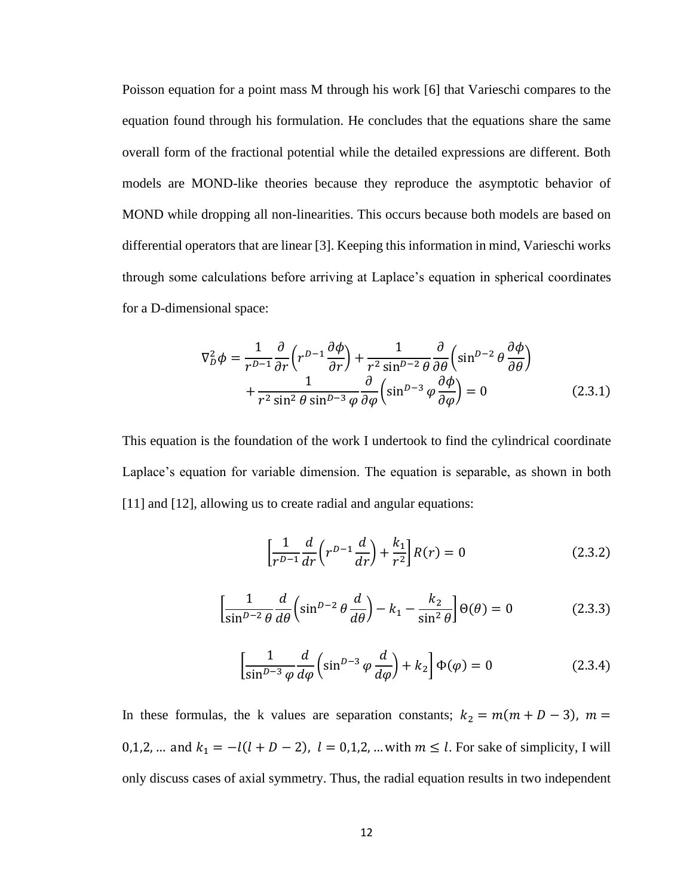Poisson equation for a point mass M through his work [6] that Varieschi compares to the equation found through his formulation. He concludes that the equations share the same overall form of the fractional potential while the detailed expressions are different. Both models are MOND-like theories because they reproduce the asymptotic behavior of MOND while dropping all non-linearities. This occurs because both models are based on differential operators that are linear [3]. Keeping this information in mind, Varieschi works through some calculations before arriving at Laplace's equation in spherical coordinates for a D-dimensional space:

$$
\nabla_D^2 \phi = \frac{1}{r^{D-1}} \frac{\partial}{\partial r} \left( r^{D-1} \frac{\partial \phi}{\partial r} \right) + \frac{1}{r^2 \sin^{D-2} \theta} \frac{\partial}{\partial \theta} \left( \sin^{D-2} \theta \frac{\partial \phi}{\partial \theta} \right) + \frac{1}{r^2 \sin^2 \theta \sin^{D-3} \phi} \frac{\partial}{\partial \phi} \left( \sin^{D-3} \phi \frac{\partial \phi}{\partial \phi} \right) = 0
$$
 (2.3.1)

This equation is the foundation of the work I undertook to find the cylindrical coordinate Laplace's equation for variable dimension. The equation is separable, as shown in both [11] and [12], allowing us to create radial and angular equations:

$$
\left[\frac{1}{r^{D-1}}\frac{d}{dr}\left(r^{D-1}\frac{d}{dr}\right) + \frac{k_1}{r^2}\right]R(r) = 0\tag{2.3.2}
$$

$$
\left[\frac{1}{\sin^{D-2}\theta} \frac{d}{d\theta} \left(\sin^{D-2}\theta \frac{d}{d\theta}\right) - k_1 - \frac{k_2}{\sin^2\theta} \right] \Theta(\theta) = 0 \tag{2.3.3}
$$

$$
\left[\frac{1}{\sin^{D-3}\varphi}\frac{d}{d\varphi}\left(\sin^{D-3}\varphi\frac{d}{d\varphi}\right) + k_2\right]\Phi(\varphi) = 0\tag{2.3.4}
$$

In these formulas, the k values are separation constants;  $k_2 = m(m + D - 3)$ ,  $m =$ 0,1,2, ... and  $k_1 = -l(l + D - 2)$ ,  $l = 0,1,2, ...$  with  $m \le l$ . For sake of simplicity, I will only discuss cases of axial symmetry. Thus, the radial equation results in two independent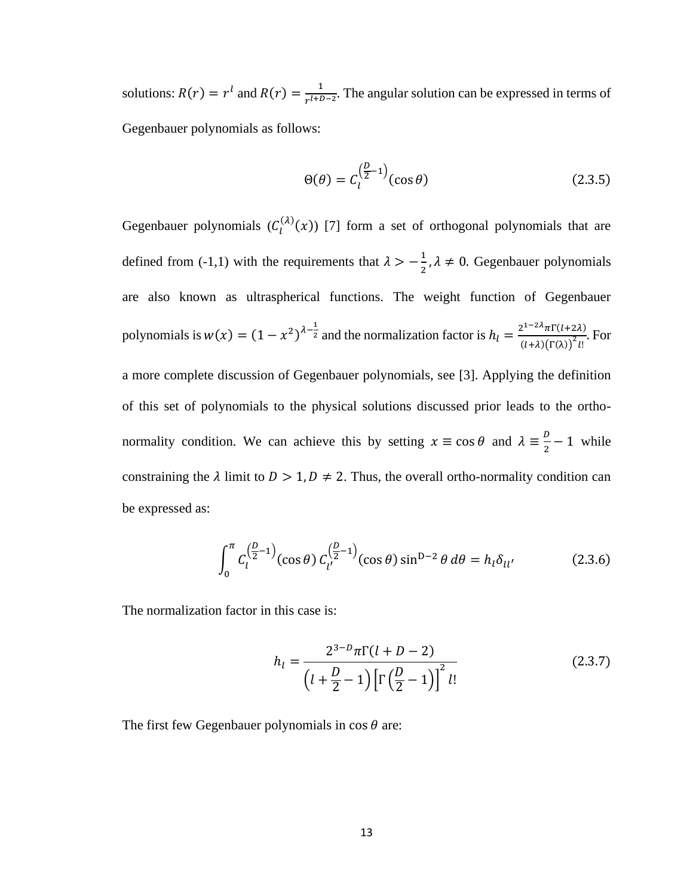solutions:  $R(r) = r^l$  and  $R(r) = \frac{1}{r^l + r^l}$  $\frac{1}{r^{l+D-2}}$ . The angular solution can be expressed in terms of Gegenbauer polynomials as follows:

$$
\Theta(\theta) = C_l^{\left(\frac{D}{2}-1\right)}(\cos\theta) \tag{2.3.5}
$$

Gegenbauer polynomials  $(C_l^{(\lambda)}(x))$  [7] form a set of orthogonal polynomials that are defined from (-1,1) with the requirements that  $\lambda > -\frac{1}{3}$  $\frac{1}{2}$ ,  $\lambda \neq 0$ . Gegenbauer polynomials are also known as ultraspherical functions. The weight function of Gegenbauer polynomials is  $w(x) = (1 - x^2)^{\lambda - \frac{1}{2}}$  and the normalization factor is  $h_l = \frac{2^{1-2\lambda} \pi \Gamma(l+2\lambda)}{(1+2\lambda) \Gamma(2\lambda)^2 l}$  $\frac{\lambda_1(t+2\lambda)}{(t+\lambda)(\Gamma(\lambda))^2}$ . For a more complete discussion of Gegenbauer polynomials, see [3]. Applying the definition of this set of polynomials to the physical solutions discussed prior leads to the orthonormality condition. We can achieve this by setting  $x \equiv \cos \theta$  and  $\lambda \equiv \frac{D}{\lambda}$  $\frac{p}{2}$  – 1 while constraining the  $\lambda$  limit to  $D > 1, D \neq 2$ . Thus, the overall ortho-normality condition can be expressed as:

$$
\int_0^{\pi} C_l^{\left(\frac{D}{2}-1\right)}(\cos\theta) C_{l'}^{\left(\frac{D}{2}-1\right)}(\cos\theta) \sin^{D-2}\theta \, d\theta = h_l \delta_{ll'} \tag{2.3.6}
$$

The normalization factor in this case is:

$$
h_{l} = \frac{2^{3-D} \pi \Gamma(l+D-2)}{\left(l+\frac{D}{2}-1\right) \left[\Gamma\left(\frac{D}{2}-1\right)\right]^{2} l!}
$$
 (2.3.7)

The first few Gegenbauer polynomials in  $\cos \theta$  are: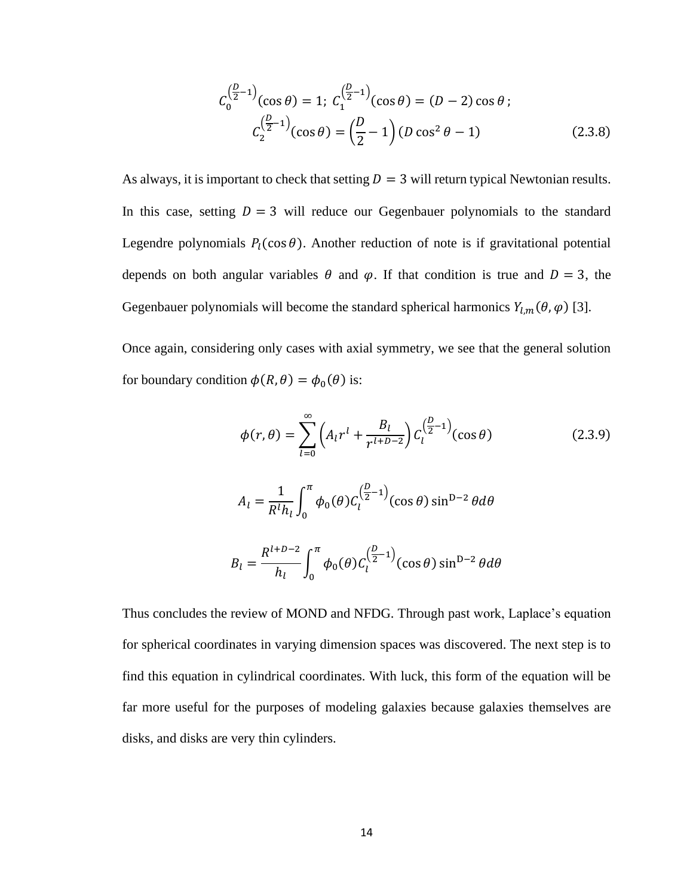$$
C_0^{\left(\frac{D}{2}-1\right)}(\cos\theta) = 1; C_1^{\left(\frac{D}{2}-1\right)}(\cos\theta) = (D-2)\cos\theta ;
$$
  

$$
C_2^{\left(\frac{D}{2}-1\right)}(\cos\theta) = \left(\frac{D}{2}-1\right)(D\cos^2\theta - 1)
$$
 (2.3.8)

As always, it is important to check that setting  $D = 3$  will return typical Newtonian results. In this case, setting  $D = 3$  will reduce our Gegenbauer polynomials to the standard Legendre polynomials  $P_l(\cos \theta)$ . Another reduction of note is if gravitational potential depends on both angular variables  $\theta$  and  $\varphi$ . If that condition is true and  $D = 3$ , the Gegenbauer polynomials will become the standard spherical harmonics  $Y_{l,m}(\theta, \varphi)$  [3].

Once again, considering only cases with axial symmetry, we see that the general solution for boundary condition  $\phi(R, \theta) = \phi_0(\theta)$  is:

$$
\phi(r,\theta) = \sum_{l=0}^{\infty} \left( A_l r^l + \frac{B_l}{r^{l+D-2}} \right) C_l^{\left(\frac{D}{2}-1\right)}(\cos\theta)
$$
(2.3.9)  

$$
A_l = \frac{1}{R^l h_l} \int_0^{\pi} \phi_0(\theta) C_l^{\left(\frac{D}{2}-1\right)}(\cos\theta) \sin^{D-2}\theta d\theta
$$
  

$$
B_l = \frac{R^{l+D-2}}{h_l} \int_0^{\pi} \phi_0(\theta) C_l^{\left(\frac{D}{2}-1\right)}(\cos\theta) \sin^{D-2}\theta d\theta
$$

Thus concludes the review of MOND and NFDG. Through past work, Laplace's equation for spherical coordinates in varying dimension spaces was discovered. The next step is to find this equation in cylindrical coordinates. With luck, this form of the equation will be far more useful for the purposes of modeling galaxies because galaxies themselves are disks, and disks are very thin cylinders.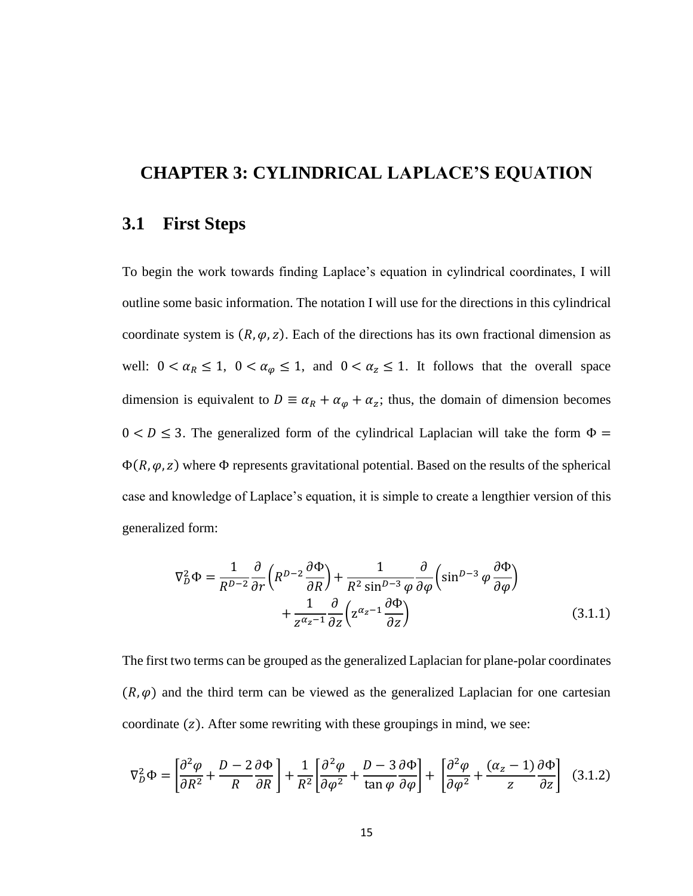#### **CHAPTER 3: CYLINDRICAL LAPLACE'S EQUATION**

#### **3.1 First Steps**

To begin the work towards finding Laplace's equation in cylindrical coordinates, I will outline some basic information. The notation I will use for the directions in this cylindrical coordinate system is  $(R, \varphi, z)$ . Each of the directions has its own fractional dimension as well:  $0 < \alpha_R \le 1$ ,  $0 < \alpha_{\varphi} \le 1$ , and  $0 < \alpha_{\varphi} \le 1$ . It follows that the overall space dimension is equivalent to  $D \equiv \alpha_R + \alpha_\varphi + \alpha_z$ ; thus, the domain of dimension becomes  $0 < D \le 3$ . The generalized form of the cylindrical Laplacian will take the form  $\Phi =$  $\Phi(R, \varphi, z)$  where  $\Phi$  represents gravitational potential. Based on the results of the spherical case and knowledge of Laplace's equation, it is simple to create a lengthier version of this generalized form:

$$
\nabla_D^2 \Phi = \frac{1}{R^{D-2}} \frac{\partial}{\partial r} \left( R^{D-2} \frac{\partial \Phi}{\partial R} \right) + \frac{1}{R^2 \sin^{D-3} \varphi} \frac{\partial}{\partial \varphi} \left( \sin^{D-3} \varphi \frac{\partial \Phi}{\partial \varphi} \right) + \frac{1}{Z^{\alpha_z - 1}} \frac{\partial}{\partial z} \left( Z^{\alpha_z - 1} \frac{\partial \Phi}{\partial z} \right)
$$
(3.1.1)

The first two terms can be grouped as the generalized Laplacian for plane-polar coordinates  $(R, \varphi)$  and the third term can be viewed as the generalized Laplacian for one cartesian coordinate  $(z)$ . After some rewriting with these groupings in mind, we see:

$$
\nabla_D^2 \Phi = \left[ \frac{\partial^2 \varphi}{\partial R^2} + \frac{D - 2}{R} \frac{\partial \Phi}{\partial R} \right] + \frac{1}{R^2} \left[ \frac{\partial^2 \varphi}{\partial \varphi^2} + \frac{D - 3}{\tan \varphi} \frac{\partial \Phi}{\partial \varphi} \right] + \left[ \frac{\partial^2 \varphi}{\partial \varphi^2} + \frac{(\alpha_z - 1)}{z} \frac{\partial \Phi}{\partial z} \right] \tag{3.1.2}
$$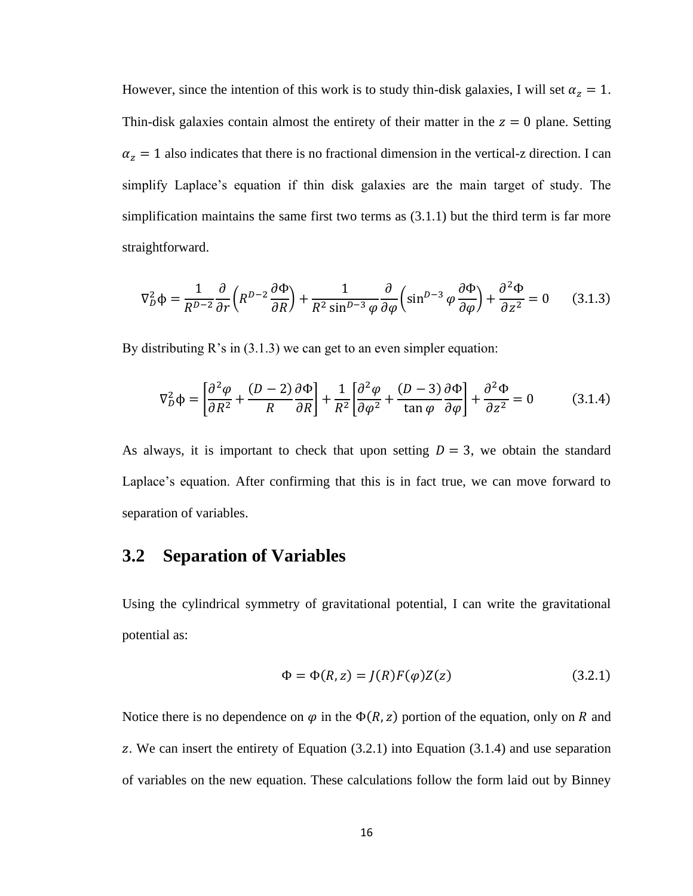However, since the intention of this work is to study thin-disk galaxies, I will set  $\alpha_z = 1$ . Thin-disk galaxies contain almost the entirety of their matter in the  $z = 0$  plane. Setting  $\alpha_z = 1$  also indicates that there is no fractional dimension in the vertical-z direction. I can simplify Laplace's equation if thin disk galaxies are the main target of study. The simplification maintains the same first two terms as (3.1.1) but the third term is far more straightforward.

$$
\nabla_D^2 \Phi = \frac{1}{R^{D-2}} \frac{\partial}{\partial r} \left( R^{D-2} \frac{\partial \Phi}{\partial R} \right) + \frac{1}{R^2 \sin^{D-3} \varphi} \frac{\partial}{\partial \varphi} \left( \sin^{D-3} \varphi \frac{\partial \Phi}{\partial \varphi} \right) + \frac{\partial^2 \Phi}{\partial z^2} = 0 \tag{3.1.3}
$$

By distributing R's in (3.1.3) we can get to an even simpler equation:

$$
\nabla_D^2 \Phi = \left[ \frac{\partial^2 \varphi}{\partial R^2} + \frac{(D-2)}{R} \frac{\partial \Phi}{\partial R} \right] + \frac{1}{R^2} \left[ \frac{\partial^2 \varphi}{\partial \varphi^2} + \frac{(D-3)}{\tan \varphi} \frac{\partial \Phi}{\partial \varphi} \right] + \frac{\partial^2 \Phi}{\partial z^2} = 0 \tag{3.1.4}
$$

As always, it is important to check that upon setting  $D = 3$ , we obtain the standard Laplace's equation. After confirming that this is in fact true, we can move forward to separation of variables.

#### **3.2 Separation of Variables**

Using the cylindrical symmetry of gravitational potential, I can write the gravitational potential as:

$$
\Phi = \Phi(R, z) = J(R)F(\varphi)Z(z)
$$
\n(3.2.1)

Notice there is no dependence on  $\varphi$  in the  $\Phi(R, z)$  portion of the equation, only on R and . We can insert the entirety of Equation (3.2.1) into Equation (3.1.4) and use separation of variables on the new equation. These calculations follow the form laid out by Binney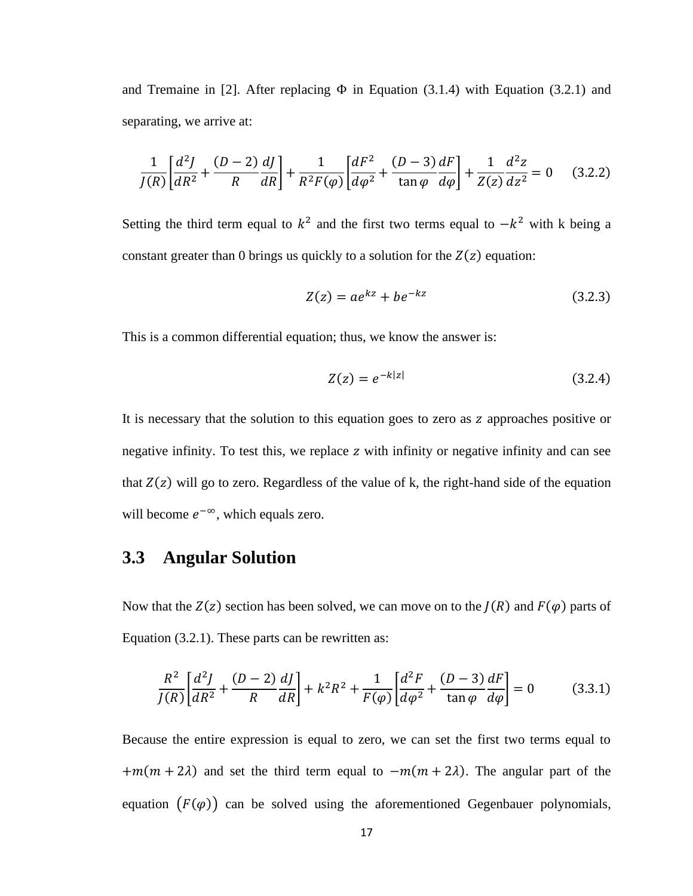and Tremaine in [2]. After replacing  $\Phi$  in Equation (3.1.4) with Equation (3.2.1) and separating, we arrive at:

$$
\frac{1}{J(R)} \left[ \frac{d^2 J}{dR^2} + \frac{(D-2)}{R} \frac{dJ}{dR} \right] + \frac{1}{R^2 F(\varphi)} \left[ \frac{dF^2}{d\varphi^2} + \frac{(D-3)}{\tan \varphi} \frac{dF}{d\varphi} \right] + \frac{1}{Z(z)} \frac{d^2 z}{dz^2} = 0 \quad (3.2.2)
$$

Setting the third term equal to  $k^2$  and the first two terms equal to  $-k^2$  with k being a constant greater than 0 brings us quickly to a solution for the  $Z(z)$  equation:

$$
Z(z) = ae^{kz} + be^{-kz} \tag{3.2.3}
$$

This is a common differential equation; thus, we know the answer is:

$$
Z(z) = e^{-k|z|} \tag{3.2.4}
$$

It is necessary that the solution to this equation goes to zero as z approaches positive or negative infinity. To test this, we replace  $z$  with infinity or negative infinity and can see that  $Z(z)$  will go to zero. Regardless of the value of k, the right-hand side of the equation will become  $e^{-\infty}$ , which equals zero.

#### **3.3 Angular Solution**

Now that the  $Z(z)$  section has been solved, we can move on to the  $I(R)$  and  $F(\varphi)$  parts of Equation (3.2.1). These parts can be rewritten as:

$$
\frac{R^2}{J(R)} \left[ \frac{d^2 J}{dR^2} + \frac{(D-2)}{R} \frac{dJ}{dR} \right] + k^2 R^2 + \frac{1}{F(\varphi)} \left[ \frac{d^2 F}{d\varphi^2} + \frac{(D-3)}{\tan \varphi} \frac{dF}{d\varphi} \right] = 0 \tag{3.3.1}
$$

Because the entire expression is equal to zero, we can set the first two terms equal to  $+m(m + 2\lambda)$  and set the third term equal to  $-m(m + 2\lambda)$ . The angular part of the equation  $(F(\varphi))$  can be solved using the aforementioned Gegenbauer polynomials,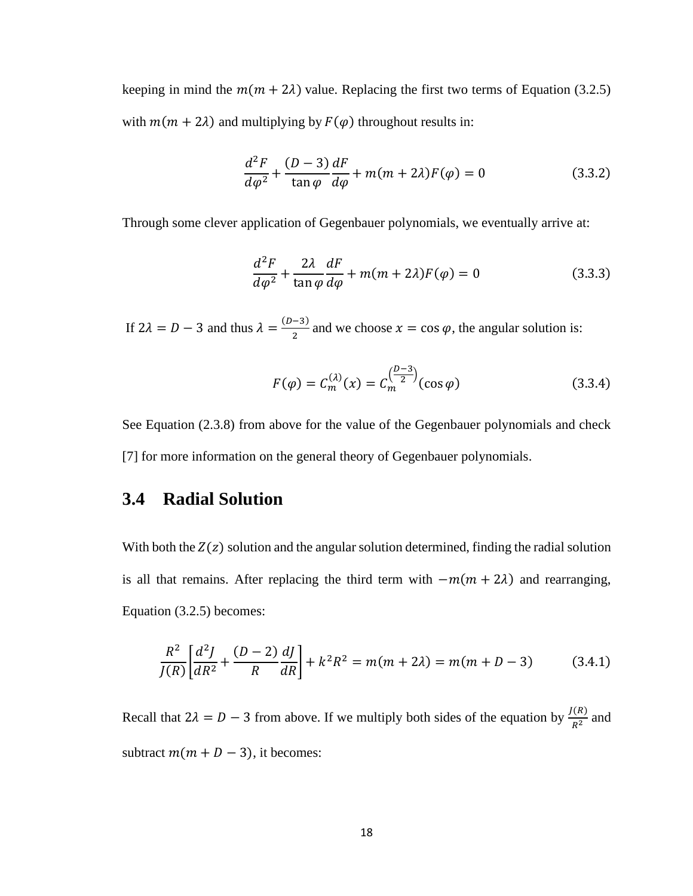keeping in mind the  $m(m + 2\lambda)$  value. Replacing the first two terms of Equation (3.2.5) with  $m(m + 2\lambda)$  and multiplying by  $F(\varphi)$  throughout results in:

$$
\frac{d^2F}{d\varphi^2} + \frac{(D-3)}{\tan\varphi}\frac{dF}{d\varphi} + m(m+2\lambda)F(\varphi) = 0
$$
\n(3.3.2)

Through some clever application of Gegenbauer polynomials, we eventually arrive at:

$$
\frac{d^2F}{d\varphi^2} + \frac{2\lambda}{\tan\varphi}\frac{dF}{d\varphi} + m(m+2\lambda)F(\varphi) = 0
$$
\n(3.3.3)

If  $2\lambda = D - 3$  and thus  $\lambda = \frac{(D-3)}{2}$  $\frac{2}{2}$  and we choose  $x = \cos \varphi$ , the angular solution is:

$$
F(\varphi) = C_m^{(\lambda)}(x) = C_m^{\left(\frac{D-3}{2}\right)}(\cos \varphi)
$$
 (3.3.4)

See Equation (2.3.8) from above for the value of the Gegenbauer polynomials and check [7] for more information on the general theory of Gegenbauer polynomials.

#### **3.4 Radial Solution**

With both the  $Z(z)$  solution and the angular solution determined, finding the radial solution is all that remains. After replacing the third term with  $-m(m + 2\lambda)$  and rearranging, Equation (3.2.5) becomes:

$$
\frac{R^2}{J(R)}\left[\frac{d^2J}{dR^2} + \frac{(D-2)}{R}\frac{dJ}{dR}\right] + k^2R^2 = m(m+2\lambda) = m(m+D-3)
$$
(3.4.1)

Recall that  $2\lambda = D - 3$  from above. If we multiply both sides of the equation by  $\frac{J(R)}{R^2}$  and subtract  $m(m + D - 3)$ , it becomes: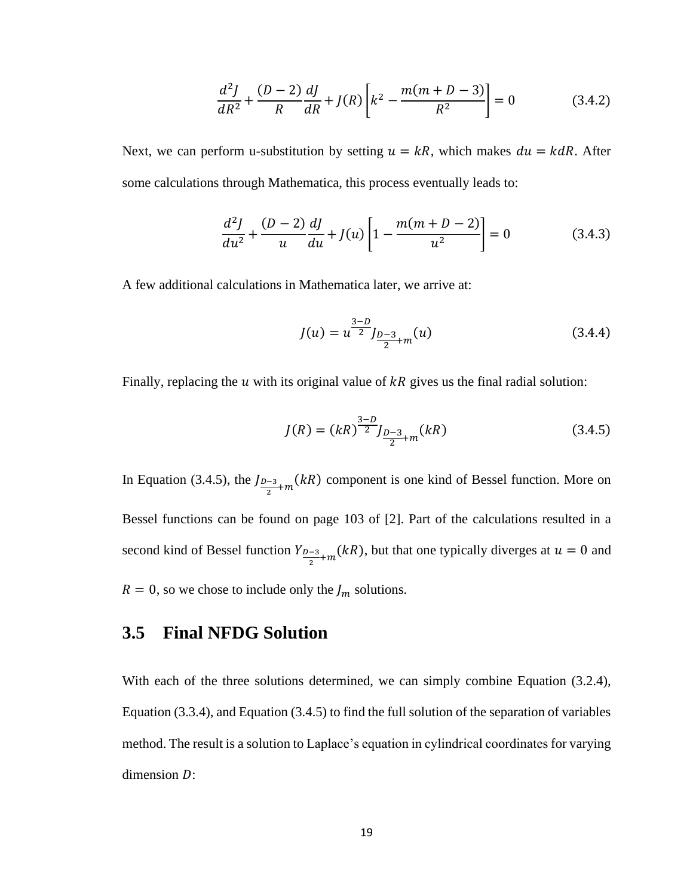$$
\frac{d^2J}{dR^2} + \frac{(D-2)}{R}\frac{dJ}{dR} + J(R)\left[k^2 - \frac{m(m+D-3)}{R^2}\right] = 0
$$
\n(3.4.2)

Next, we can perform u-substitution by setting  $u = kR$ , which makes  $du = kdR$ . After some calculations through Mathematica, this process eventually leads to:

$$
\frac{d^2J}{du^2} + \frac{(D-2)}{u}\frac{dJ}{du} + J(u)\left[1 - \frac{m(m+D-2)}{u^2}\right] = 0
$$
\n(3.4.3)

A few additional calculations in Mathematica later, we arrive at:

$$
J(u) = u^{\frac{3-D}{2}} J_{\frac{D-3}{2}+m}(u)
$$
\n(3.4.4)

Finally, replacing the  $u$  with its original value of  $kR$  gives us the final radial solution:

$$
J(R) = (kR)^{\frac{3-D}{2}} J_{\frac{D-3}{2}+m}(kR)
$$
 (3.4.5)

In Equation (3.4.5), the  $J_{D-3}$  $\frac{-3}{2}+m(kR)$  component is one kind of Bessel function. More on Bessel functions can be found on page 103 of [2]. Part of the calculations resulted in a second kind of Bessel function Y<sub>D-3</sub>  $\frac{1}{2}$  = 2+m(kR), but that one typically diverges at  $u = 0$  and  $R = 0$ , so we chose to include only the  $J_m$  solutions.

### **3.5 Final NFDG Solution**

With each of the three solutions determined, we can simply combine Equation (3.2.4), Equation (3.3.4), and Equation (3.4.5) to find the full solution of the separation of variables method. The result is a solution to Laplace's equation in cylindrical coordinates for varying dimension  $D$ :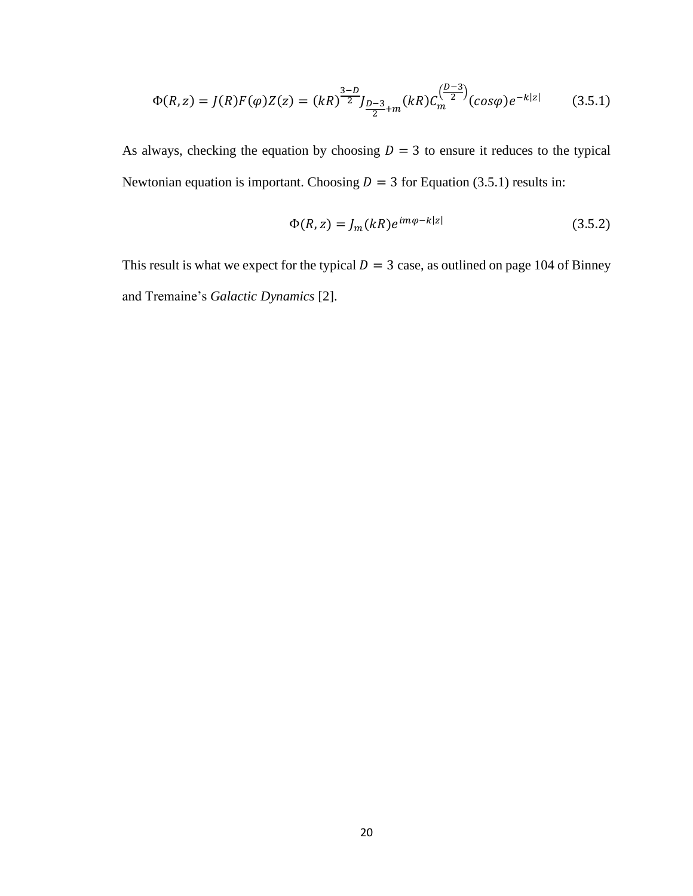$$
\Phi(R, z) = J(R)F(\varphi)Z(z) = (kR)^{\frac{3-D}{2}}J_{\frac{D-3}{2}+m}(kR)C_m^{\left(\frac{D-3}{2}\right)}(cos\varphi)e^{-k|z|}
$$
(3.5.1)

As always, checking the equation by choosing  $D = 3$  to ensure it reduces to the typical Newtonian equation is important. Choosing  $D = 3$  for Equation (3.5.1) results in:

$$
\Phi(R, z) = J_m(kR)e^{im\varphi - k|z|}
$$
\n(3.5.2)

This result is what we expect for the typical  $D = 3$  case, as outlined on page 104 of Binney and Tremaine's *Galactic Dynamics* [2].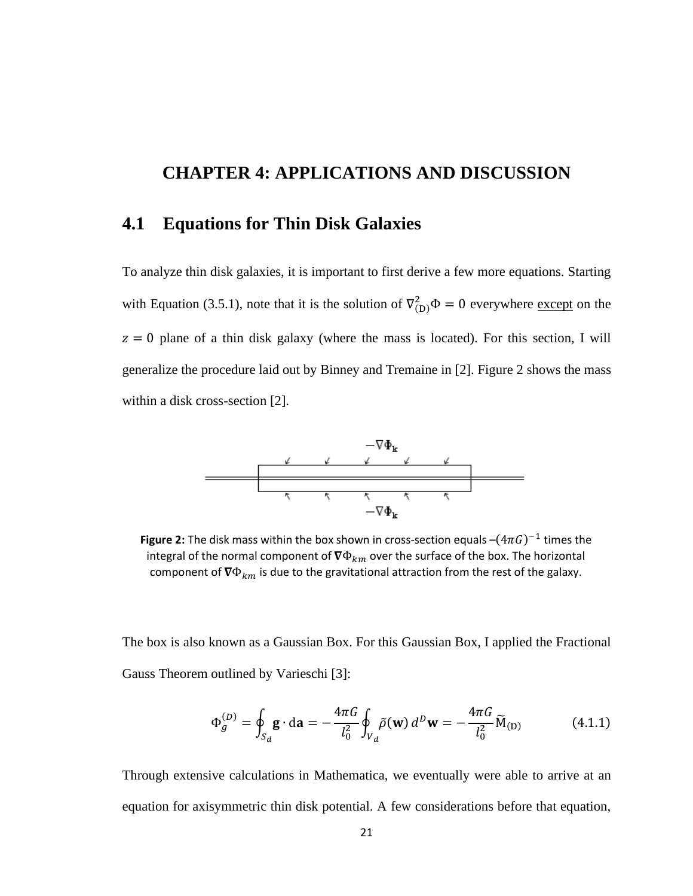## **CHAPTER 4: APPLICATIONS AND DISCUSSION**

#### **4.1 Equations for Thin Disk Galaxies**

To analyze thin disk galaxies, it is important to first derive a few more equations. Starting with Equation (3.5.1), note that it is the solution of  $\nabla^2_{(D)}\Phi = 0$  everywhere <u>except</u> on the  $z = 0$  plane of a thin disk galaxy (where the mass is located). For this section, I will generalize the procedure laid out by Binney and Tremaine in [2]. Figure 2 shows the mass within a disk cross-section [2].



**Figure 2:** The disk mass within the box shown in cross-section equals  $-(4\pi G)^{-1}$  times the integral of the normal component of  $\nabla \Phi_{km}$  over the surface of the box. The horizontal component of  $\nabla \Phi_{km}$  is due to the gravitational attraction from the rest of the galaxy.

The box is also known as a Gaussian Box. For this Gaussian Box, I applied the Fractional Gauss Theorem outlined by Varieschi [3]:

$$
\Phi_g^{(D)} = \oint_{S_d} \mathbf{g} \cdot d\mathbf{a} = -\frac{4\pi G}{l_0^2} \oint_{V_d} \tilde{\rho}(\mathbf{w}) d^D \mathbf{w} = -\frac{4\pi G}{l_0^2} \widetilde{M}_{(D)} \tag{4.1.1}
$$

Through extensive calculations in Mathematica, we eventually were able to arrive at an equation for axisymmetric thin disk potential. A few considerations before that equation,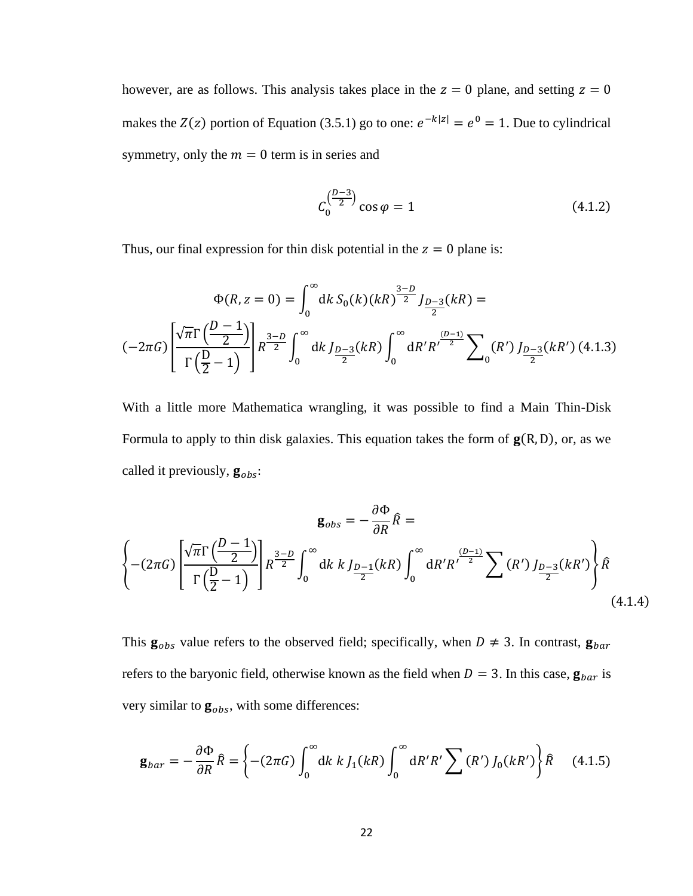however, are as follows. This analysis takes place in the  $z = 0$  plane, and setting  $z = 0$ makes the  $Z(z)$  portion of Equation (3.5.1) go to one:  $e^{-k|z|} = e^0 = 1$ . Due to cylindrical symmetry, only the  $m = 0$  term is in series and

$$
C_0^{\left(\frac{D-3}{2}\right)}\cos\varphi = 1\tag{4.1.2}
$$

Thus, our final expression for thin disk potential in the  $z = 0$  plane is:

$$
\Phi(R, z = 0) = \int_0^\infty dk \, S_0(k) (kR)^{\frac{3-D}{2}} J_{\frac{D-3}{2}}(kR) =
$$
\n
$$
(-2\pi G) \left[ \frac{\sqrt{\pi} \Gamma\left(\frac{D-1}{2}\right)}{\Gamma\left(\frac{D}{2}-1\right)} \right] R^{\frac{3-D}{2}} \int_0^\infty dk \, J_{\frac{D-3}{2}}(kR) \int_0^\infty dR'R' \frac{p-3}{2} \sum_0 (R') J_{\frac{D-3}{2}}(kR') \, (4.1.3)
$$

With a little more Mathematica wrangling, it was possible to find a Main Thin-Disk Formula to apply to thin disk galaxies. This equation takes the form of  $g(R, D)$ , or, as we called it previously,  $\mathbf{g}_{obs}$ :

$$
\mathbf{g}_{obs} = -\frac{\partial \Phi}{\partial R} \hat{R} =
$$
  

$$
\left\{ -(2\pi G) \left[ \frac{\sqrt{\pi} \Gamma \left( \frac{D-1}{2} \right)}{\Gamma \left( \frac{D}{2} - 1 \right)} \right] R^{\frac{3-D}{2}} \int_0^\infty dk \ k \ J_{\frac{D-1}{2}}(kR) \int_0^\infty dR' R' \frac{(D-1)}{2} \sum (R') \ J_{\frac{D-3}{2}}(kR') \right\} \hat{R}
$$
  
(4.1.4)

This  $\mathbf{g}_{obs}$  value refers to the observed field; specifically, when  $D \neq 3$ . In contrast,  $\mathbf{g}_{bar}$ refers to the baryonic field, otherwise known as the field when  $D = 3$ . In this case,  $\mathbf{g}_{bar}$  is very similar to  $\mathbf{g}_{obs}$ , with some differences:

$$
\mathbf{g}_{bar} = -\frac{\partial \Phi}{\partial R} \hat{R} = \left\{ -(2\pi G) \int_0^\infty dk \ k \ J_1(kR) \int_0^\infty dR'R' \sum (R') \ J_0(kR') \right\} \hat{R} \tag{4.1.5}
$$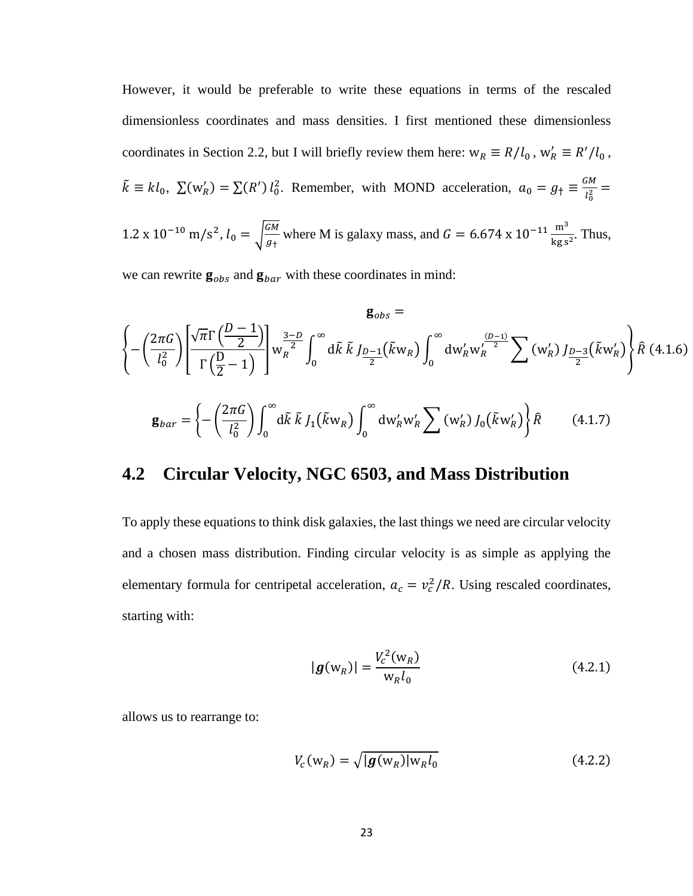However, it would be preferable to write these equations in terms of the rescaled dimensionless coordinates and mass densities. I first mentioned these dimensionless coordinates in Section 2.2, but I will briefly review them here:  $w_R \equiv R/l_0$ ,  $w'_R \equiv R'/l_0$ ,  $\tilde{k} \equiv kl_0$ ,  $\sum (w'_R) = \sum (R') l_0^2$ . Remember, with MOND acceleration,  $a_0 = g_{\dagger} \equiv \frac{GM}{l^2}$  $\frac{m}{l_0^2} =$ 

1.2 x 10<sup>-10</sup> m/s<sup>2</sup>, 
$$
l_0 = \sqrt{\frac{GM}{g_{\dagger}}}
$$
 where M is galaxy mass, and  $G = 6.674 \times 10^{-11} \frac{\text{m}^3}{\text{kg s}^2}$ . Thus,

we can rewrite  $\mathbf{g}_{obs}$  and  $\mathbf{g}_{bar}$  with these coordinates in mind:

$$
\mathbf{g}_{obs} = \left\{ -\left(\frac{2\pi G}{l_0^2}\right) \left[ \frac{\sqrt{\pi} \Gamma\left(\frac{D-1}{2}\right)}{\Gamma\left(\frac{D}{2}-1\right)} \right] w_R^{\frac{3-D}{2}} \int_0^\infty d\tilde{k} \ \tilde{k} \ J_{\frac{D-1}{2}}(\tilde{k}w_R) \int_0^\infty dw'_R w'_R \right\}^{\frac{(D-1)}{2}} \sum (w'_R) J_{\frac{D-3}{2}}(\tilde{k}w'_R) \right\} \hat{R} \ (4.1.6)
$$
  

$$
\mathbf{g}_{bar} = \left\{ -\left(\frac{2\pi G}{l_0^2}\right) \int_0^\infty d\tilde{k} \ \tilde{k} \ J_1(\tilde{k}w_R) \int_0^\infty dw'_R w'_R \sum (w'_R) J_0(\tilde{k}w'_R) \right\} \hat{R} \qquad (4.1.7)
$$

#### **4.2 Circular Velocity, NGC 6503, and Mass Distribution**

To apply these equations to think disk galaxies, the last things we need are circular velocity and a chosen mass distribution. Finding circular velocity is as simple as applying the elementary formula for centripetal acceleration,  $a_c = v_c^2/R$ . Using rescaled coordinates, starting with:

$$
|\boldsymbol{g}(\mathbf{w}_R)| = \frac{V_c^2(\mathbf{w}_R)}{\mathbf{w}_R l_0}
$$
 (4.2.1)

allows us to rearrange to:

$$
V_c(\mathbf{w}_R) = \sqrt{|\boldsymbol{g}(\mathbf{w}_R)| \mathbf{w}_R l_0}
$$
\n(4.2.2)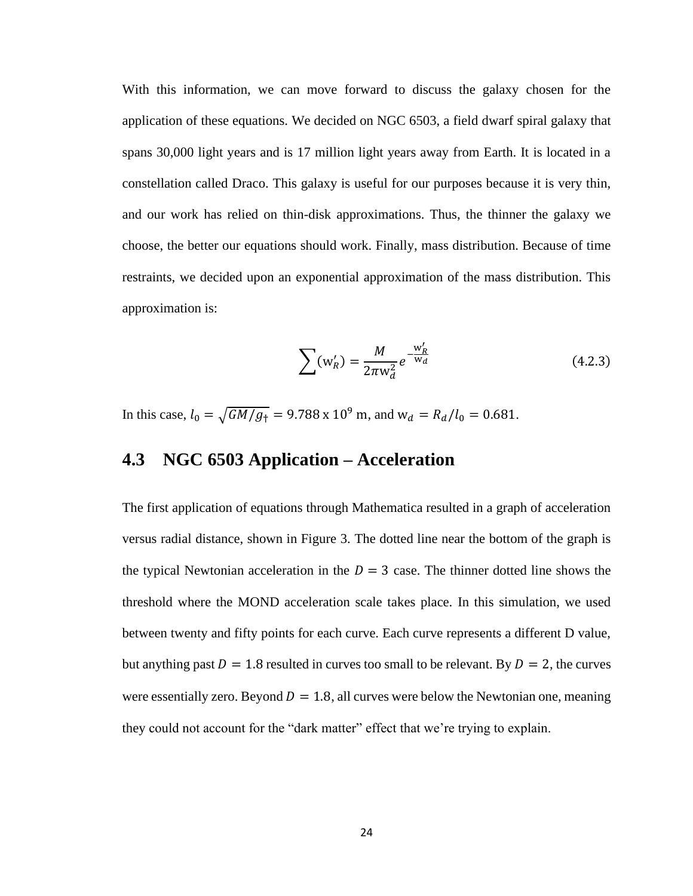With this information, we can move forward to discuss the galaxy chosen for the application of these equations. We decided on NGC 6503, a field dwarf spiral galaxy that spans 30,000 light years and is 17 million light years away from Earth. It is located in a constellation called Draco. This galaxy is useful for our purposes because it is very thin, and our work has relied on thin-disk approximations. Thus, the thinner the galaxy we choose, the better our equations should work. Finally, mass distribution. Because of time restraints, we decided upon an exponential approximation of the mass distribution. This approximation is:

$$
\sum (w_R') = \frac{M}{2\pi w_d^2} e^{-\frac{w_R'}{w_d}}
$$
 (4.2.3)

In this case,  $l_0 = \sqrt{GM/g_{\perp}} = 9.788 \times 10^9$  m, and  $w_d = R_d/l_0 = 0.681$ .

## **4.3 NGC 6503 Application – Acceleration**

The first application of equations through Mathematica resulted in a graph of acceleration versus radial distance, shown in Figure 3. The dotted line near the bottom of the graph is the typical Newtonian acceleration in the  $D = 3$  case. The thinner dotted line shows the threshold where the MOND acceleration scale takes place. In this simulation, we used between twenty and fifty points for each curve. Each curve represents a different D value, but anything past  $D = 1.8$  resulted in curves too small to be relevant. By  $D = 2$ , the curves were essentially zero. Beyond  $D = 1.8$ , all curves were below the Newtonian one, meaning they could not account for the "dark matter" effect that we're trying to explain.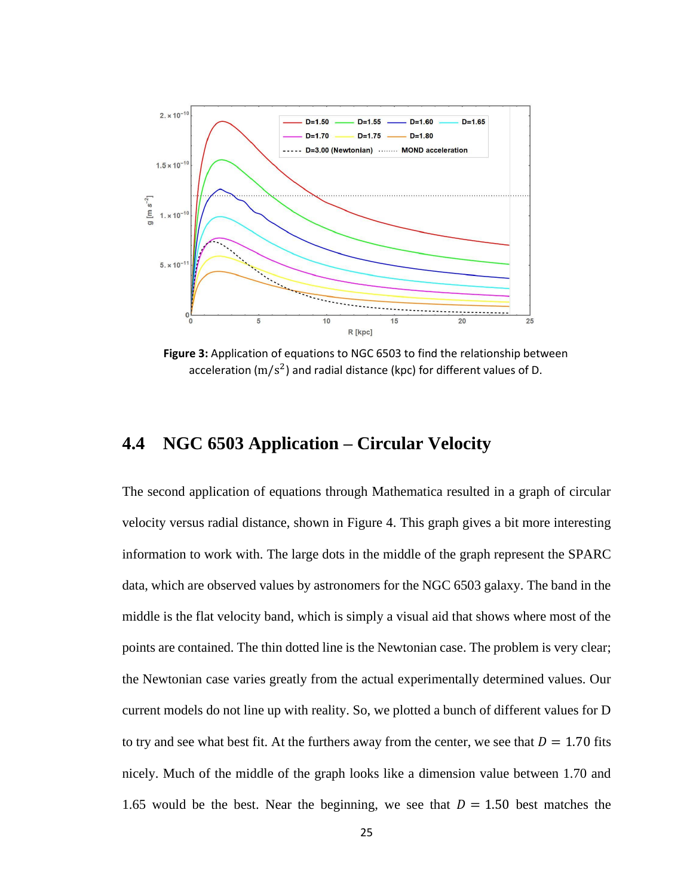

**Figure 3:** Application of equations to NGC 6503 to find the relationship between acceleration (m/s<sup>2</sup>) and radial distance (kpc) for different values of D.

## **4.4 NGC 6503 Application – Circular Velocity**

The second application of equations through Mathematica resulted in a graph of circular velocity versus radial distance, shown in Figure 4. This graph gives a bit more interesting information to work with. The large dots in the middle of the graph represent the SPARC data, which are observed values by astronomers for the NGC 6503 galaxy. The band in the middle is the flat velocity band, which is simply a visual aid that shows where most of the points are contained. The thin dotted line is the Newtonian case. The problem is very clear; the Newtonian case varies greatly from the actual experimentally determined values. Our current models do not line up with reality. So, we plotted a bunch of different values for D to try and see what best fit. At the furthers away from the center, we see that  $D = 1.70$  fits nicely. Much of the middle of the graph looks like a dimension value between 1.70 and 1.65 would be the best. Near the beginning, we see that  $D = 1.50$  best matches the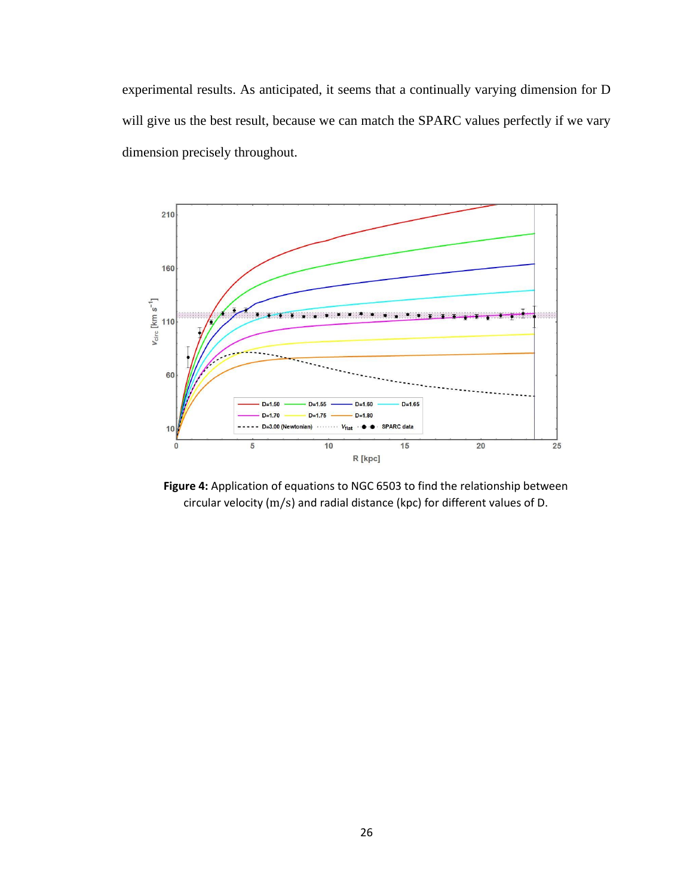experimental results. As anticipated, it seems that a continually varying dimension for D will give us the best result, because we can match the SPARC values perfectly if we vary dimension precisely throughout.



**Figure 4:** Application of equations to NGC 6503 to find the relationship between circular velocity (m/s) and radial distance (kpc) for different values of D.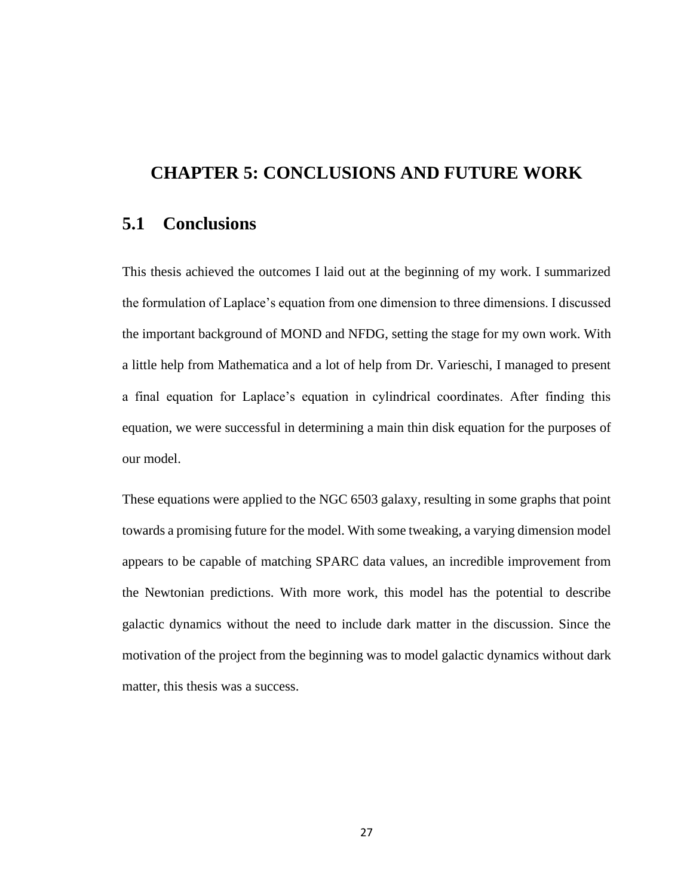#### **CHAPTER 5: CONCLUSIONS AND FUTURE WORK**

#### **5.1 Conclusions**

This thesis achieved the outcomes I laid out at the beginning of my work. I summarized the formulation of Laplace's equation from one dimension to three dimensions. I discussed the important background of MOND and NFDG, setting the stage for my own work. With a little help from Mathematica and a lot of help from Dr. Varieschi, I managed to present a final equation for Laplace's equation in cylindrical coordinates. After finding this equation, we were successful in determining a main thin disk equation for the purposes of our model.

These equations were applied to the NGC 6503 galaxy, resulting in some graphs that point towards a promising future for the model. With some tweaking, a varying dimension model appears to be capable of matching SPARC data values, an incredible improvement from the Newtonian predictions. With more work, this model has the potential to describe galactic dynamics without the need to include dark matter in the discussion. Since the motivation of the project from the beginning was to model galactic dynamics without dark matter, this thesis was a success.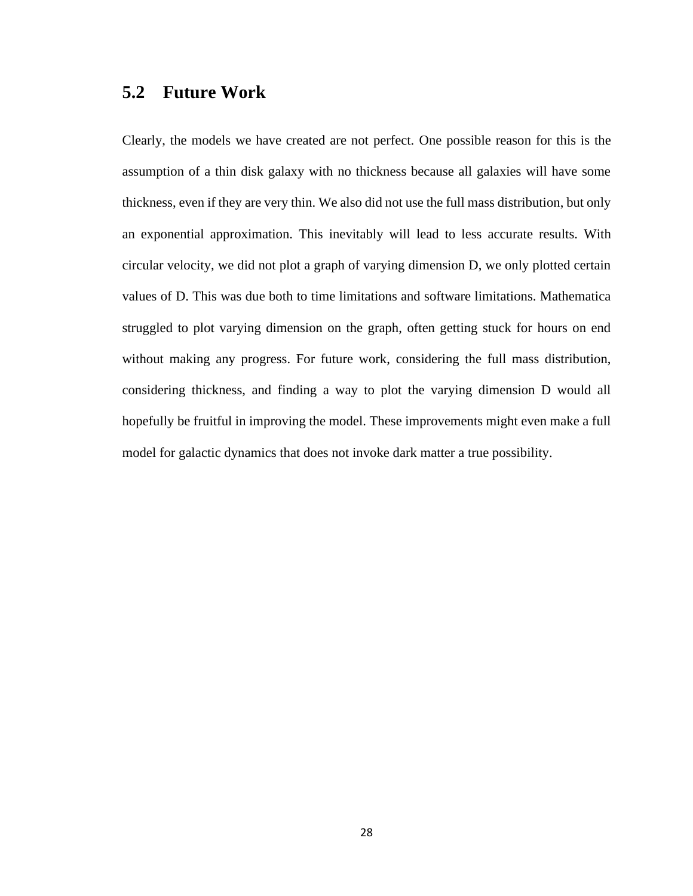#### **5.2 Future Work**

Clearly, the models we have created are not perfect. One possible reason for this is the assumption of a thin disk galaxy with no thickness because all galaxies will have some thickness, even if they are very thin. We also did not use the full mass distribution, but only an exponential approximation. This inevitably will lead to less accurate results. With circular velocity, we did not plot a graph of varying dimension D, we only plotted certain values of D. This was due both to time limitations and software limitations. Mathematica struggled to plot varying dimension on the graph, often getting stuck for hours on end without making any progress. For future work, considering the full mass distribution, considering thickness, and finding a way to plot the varying dimension D would all hopefully be fruitful in improving the model. These improvements might even make a full model for galactic dynamics that does not invoke dark matter a true possibility.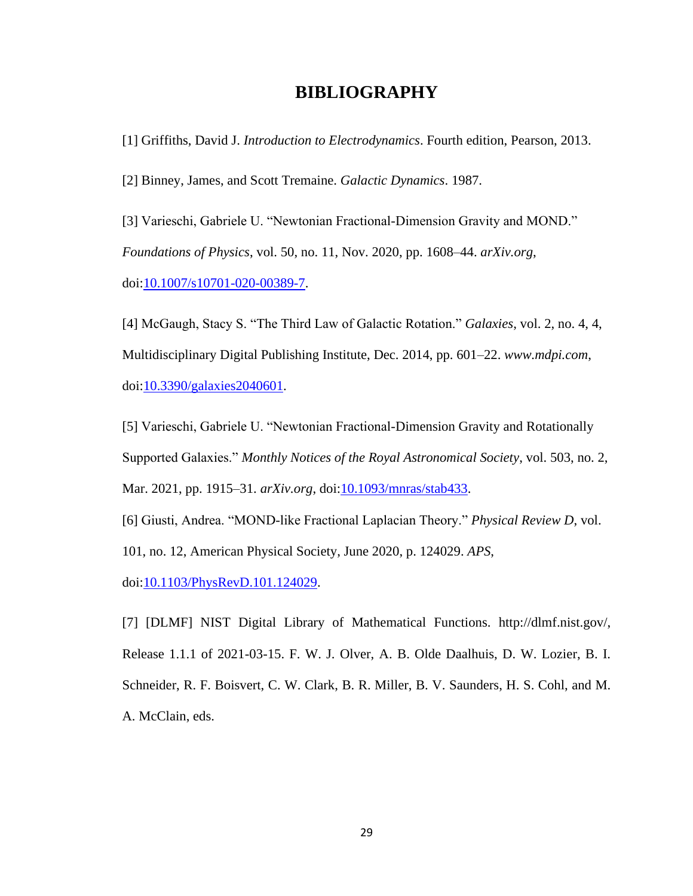#### **BIBLIOGRAPHY**

[1] Griffiths, David J. *Introduction to Electrodynamics*. Fourth edition, Pearson, 2013.

[2] Binney, James, and Scott Tremaine. *Galactic Dynamics*. 1987.

[3] Varieschi, Gabriele U. "Newtonian Fractional-Dimension Gravity and MOND." *Foundations of Physics*, vol. 50, no. 11, Nov. 2020, pp. 1608–44. *arXiv.org*, doi[:10.1007/s10701-020-00389-7.](https://doi.org/10.1007/s10701-020-00389-7)

[4] McGaugh, Stacy S. "The Third Law of Galactic Rotation." *Galaxies*, vol. 2, no. 4, 4, Multidisciplinary Digital Publishing Institute, Dec. 2014, pp. 601–22. *www.mdpi.com*, doi[:10.3390/galaxies2040601.](https://doi.org/10.3390/galaxies2040601)

[5] Varieschi, Gabriele U. "Newtonian Fractional-Dimension Gravity and Rotationally Supported Galaxies." *Monthly Notices of the Royal Astronomical Society*, vol. 503, no. 2, Mar. 2021, pp. 1915–31. *arXiv.org*, doi[:10.1093/mnras/stab433.](https://doi.org/10.1093/mnras/stab433)

[6] Giusti, Andrea. "MOND-like Fractional Laplacian Theory." *Physical Review D*, vol. 101, no. 12, American Physical Society, June 2020, p. 124029. *APS*, doi[:10.1103/PhysRevD.101.124029.](https://doi.org/10.1103/PhysRevD.101.124029)

[7] [DLMF] NIST Digital Library of Mathematical Functions. http://dlmf.nist.gov/, Release 1.1.1 of 2021-03-15. F. W. J. Olver, A. B. Olde Daalhuis, D. W. Lozier, B. I. Schneider, R. F. Boisvert, C. W. Clark, B. R. Miller, B. V. Saunders, H. S. Cohl, and M. A. McClain, eds.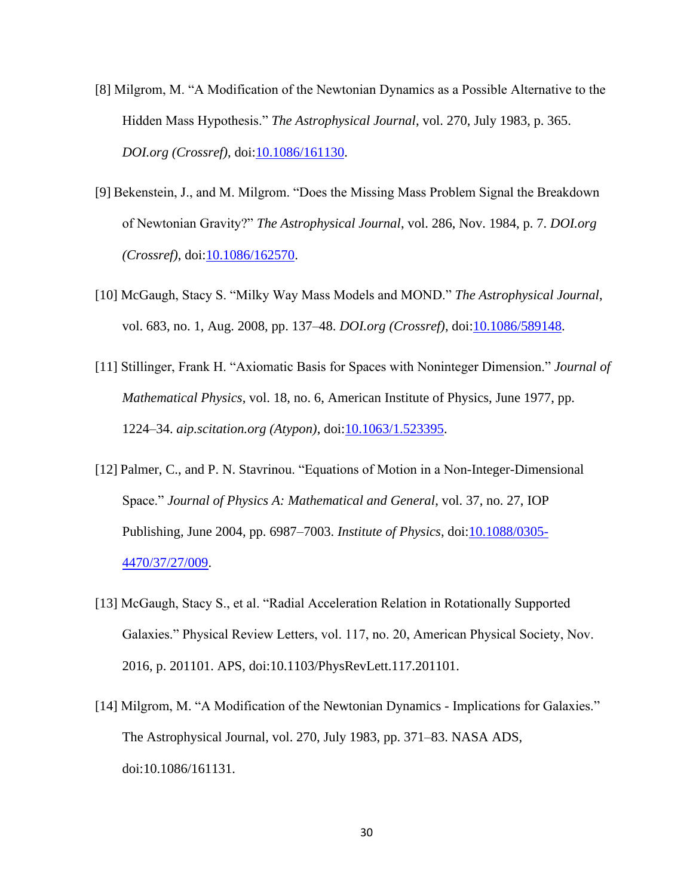- [8] Milgrom, M. "A Modification of the Newtonian Dynamics as a Possible Alternative to the Hidden Mass Hypothesis." *The Astrophysical Journal*, vol. 270, July 1983, p. 365. *DOI.org (Crossref)*, doi[:10.1086/161130.](https://doi.org/10.1086/161130)
- [9] Bekenstein, J., and M. Milgrom. "Does the Missing Mass Problem Signal the Breakdown of Newtonian Gravity?" *The Astrophysical Journal*, vol. 286, Nov. 1984, p. 7. *DOI.org (Crossref)*, doi[:10.1086/162570.](https://doi.org/10.1086/162570)
- [10] McGaugh, Stacy S. "Milky Way Mass Models and MOND." *The Astrophysical Journal*, vol. 683, no. 1, Aug. 2008, pp. 137–48. *DOI.org (Crossref)*, doi[:10.1086/589148.](https://doi.org/10.1086/589148)
- [11] Stillinger, Frank H. "Axiomatic Basis for Spaces with Noninteger Dimension." *Journal of Mathematical Physics*, vol. 18, no. 6, American Institute of Physics, June 1977, pp. 1224–34. *aip.scitation.org (Atypon)*, doi[:10.1063/1.523395.](https://doi.org/10.1063/1.523395)
- [12] Palmer, C., and P. N. Stavrinou. "Equations of Motion in a Non-Integer-Dimensional Space." *Journal of Physics A: Mathematical and General*, vol. 37, no. 27, IOP Publishing, June 2004, pp. 6987–7003. *Institute of Physics*, doi[:10.1088/0305-](https://doi.org/10.1088/0305-4470/37/27/009) [4470/37/27/009.](https://doi.org/10.1088/0305-4470/37/27/009)
- [13] McGaugh, Stacy S., et al. "Radial Acceleration Relation in Rotationally Supported Galaxies." Physical Review Letters, vol. 117, no. 20, American Physical Society, Nov. 2016, p. 201101. APS, doi:10.1103/PhysRevLett.117.201101.
- [14] Milgrom, M. "A Modification of the Newtonian Dynamics Implications for Galaxies." The Astrophysical Journal, vol. 270, July 1983, pp. 371–83. NASA ADS, doi:10.1086/161131.